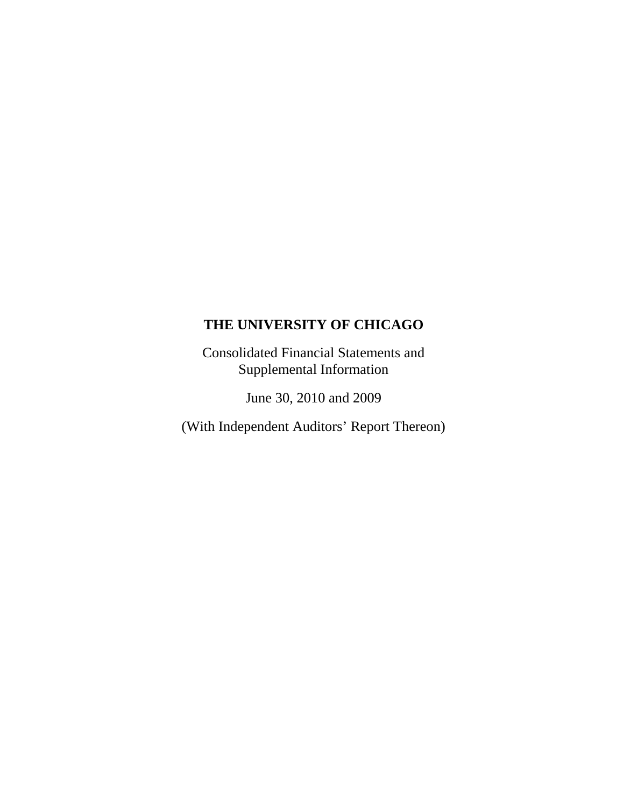Consolidated Financial Statements and Supplemental Information

June 30, 2010 and 2009

(With Independent Auditors' Report Thereon)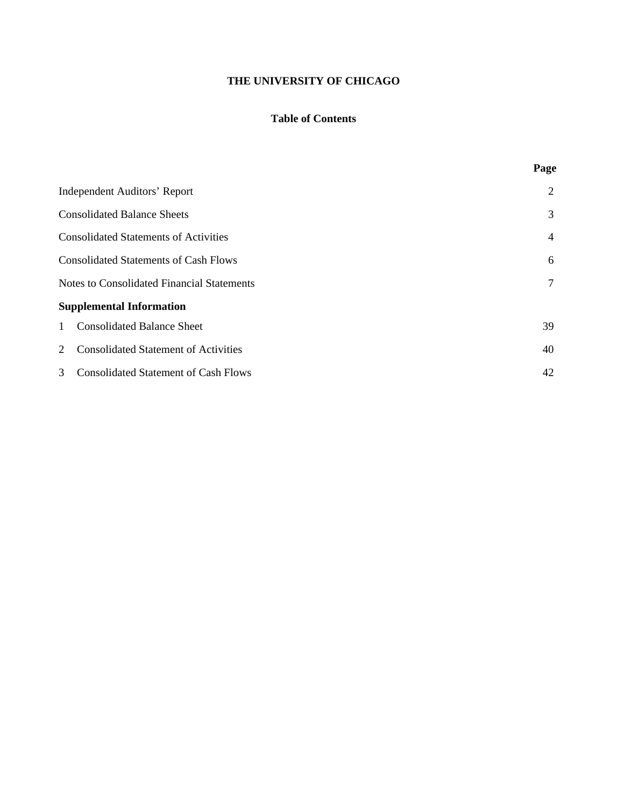# **Table of Contents**

|                                                   | Page           |
|---------------------------------------------------|----------------|
| <b>Independent Auditors' Report</b>               | 2              |
| <b>Consolidated Balance Sheets</b>                | 3              |
| <b>Consolidated Statements of Activities</b>      | $\overline{4}$ |
| <b>Consolidated Statements of Cash Flows</b>      | 6              |
| <b>Notes to Consolidated Financial Statements</b> | 7              |
| <b>Supplemental Information</b>                   |                |
| <b>Consolidated Balance Sheet</b><br>$\mathbf{1}$ | 39             |
| <b>Consolidated Statement of Activities</b><br>2  | 40             |
| <b>Consolidated Statement of Cash Flows</b><br>3  | 42             |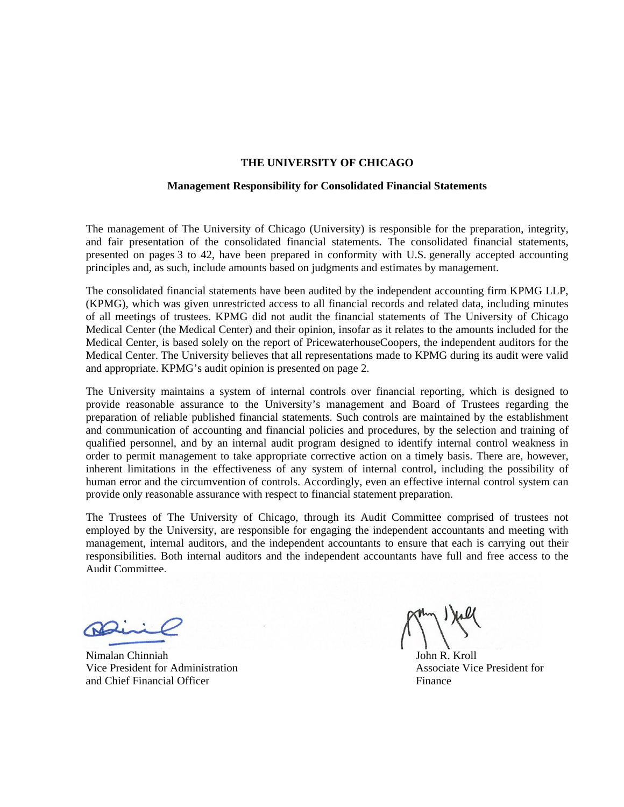#### **Management Responsibility for Consolidated Financial Statements**

The management of The University of Chicago (University) is responsible for the preparation, integrity, and fair presentation of the consolidated financial statements. The consolidated financial statements, presented on pages 3 to 42, have been prepared in conformity with U.S. generally accepted accounting principles and, as such, include amounts based on judgments and estimates by management.

The consolidated financial statements have been audited by the independent accounting firm KPMG LLP, (KPMG), which was given unrestricted access to all financial records and related data, including minutes of all meetings of trustees. KPMG did not audit the financial statements of The University of Chicago Medical Center (the Medical Center) and their opinion, insofar as it relates to the amounts included for the Medical Center, is based solely on the report of PricewaterhouseCoopers, the independent auditors for the Medical Center. The University believes that all representations made to KPMG during its audit were valid and appropriate. KPMG's audit opinion is presented on page 2.

The University maintains a system of internal controls over financial reporting, which is designed to provide reasonable assurance to the University's management and Board of Trustees regarding the preparation of reliable published financial statements. Such controls are maintained by the establishment and communication of accounting and financial policies and procedures, by the selection and training of qualified personnel, and by an internal audit program designed to identify internal control weakness in order to permit management to take appropriate corrective action on a timely basis. There are, however, inherent limitations in the effectiveness of any system of internal control, including the possibility of human error and the circumvention of controls. Accordingly, even an effective internal control system can provide only reasonable assurance with respect to financial statement preparation.

The Trustees of The University of Chicago, through its Audit Committee comprised of trustees not employed by the University, are responsible for engaging the independent accountants and meeting with management, internal auditors, and the independent accountants to ensure that each is carrying out their responsibilities. Both internal auditors and the independent accountants have full and free access to the Audit Committee.

Nimalan Chinniah John R. Kroll Vice President for Administration Associate Vice President for Associate Vice President for and Chief Financial Officer Finance Finance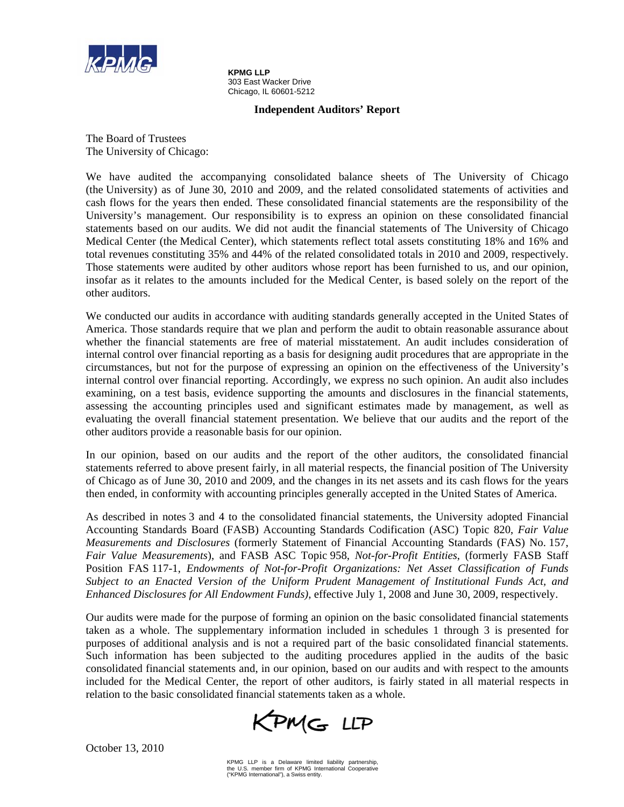

**KPMG LLP**  303 East Wacker Drive Chicago, IL 60601-5212

### **Independent Auditors' Report**

The Board of Trustees The University of Chicago:

We have audited the accompanying consolidated balance sheets of The University of Chicago (the University) as of June 30, 2010 and 2009, and the related consolidated statements of activities and cash flows for the years then ended. These consolidated financial statements are the responsibility of the University's management. Our responsibility is to express an opinion on these consolidated financial statements based on our audits. We did not audit the financial statements of The University of Chicago Medical Center (the Medical Center), which statements reflect total assets constituting 18% and 16% and total revenues constituting 35% and 44% of the related consolidated totals in 2010 and 2009, respectively. Those statements were audited by other auditors whose report has been furnished to us, and our opinion, insofar as it relates to the amounts included for the Medical Center, is based solely on the report of the other auditors.

We conducted our audits in accordance with auditing standards generally accepted in the United States of America. Those standards require that we plan and perform the audit to obtain reasonable assurance about whether the financial statements are free of material misstatement. An audit includes consideration of internal control over financial reporting as a basis for designing audit procedures that are appropriate in the circumstances, but not for the purpose of expressing an opinion on the effectiveness of the University's internal control over financial reporting. Accordingly, we express no such opinion. An audit also includes examining, on a test basis, evidence supporting the amounts and disclosures in the financial statements, assessing the accounting principles used and significant estimates made by management, as well as evaluating the overall financial statement presentation. We believe that our audits and the report of the other auditors provide a reasonable basis for our opinion.

In our opinion, based on our audits and the report of the other auditors, the consolidated financial statements referred to above present fairly, in all material respects, the financial position of The University of Chicago as of June 30, 2010 and 2009, and the changes in its net assets and its cash flows for the years then ended, in conformity with accounting principles generally accepted in the United States of America.

As described in notes 3 and 4 to the consolidated financial statements, the University adopted Financial Accounting Standards Board (FASB) Accounting Standards Codification (ASC) Topic 820, *Fair Value Measurements and Disclosures* (formerly Statement of Financial Accounting Standards (FAS) No. 157, *Fair Value Measurements*), and FASB ASC Topic 958, *Not-for-Profit Entities*, (formerly FASB Staff Position FAS 117-1, *Endowments of Not-for-Profit Organizations: Net Asset Classification of Funds Subject to an Enacted Version of the Uniform Prudent Management of Institutional Funds Act, and Enhanced Disclosures for All Endowment Funds)*, effective July 1, 2008 and June 30, 2009, respectively.

Our audits were made for the purpose of forming an opinion on the basic consolidated financial statements taken as a whole. The supplementary information included in schedules 1 through 3 is presented for purposes of additional analysis and is not a required part of the basic consolidated financial statements. Such information has been subjected to the auditing procedures applied in the audits of the basic consolidated financial statements and, in our opinion, based on our audits and with respect to the amounts included for the Medical Center, the report of other auditors, is fairly stated in all material respects in relation to the basic consolidated financial statements taken as a whole.



October 13, 2010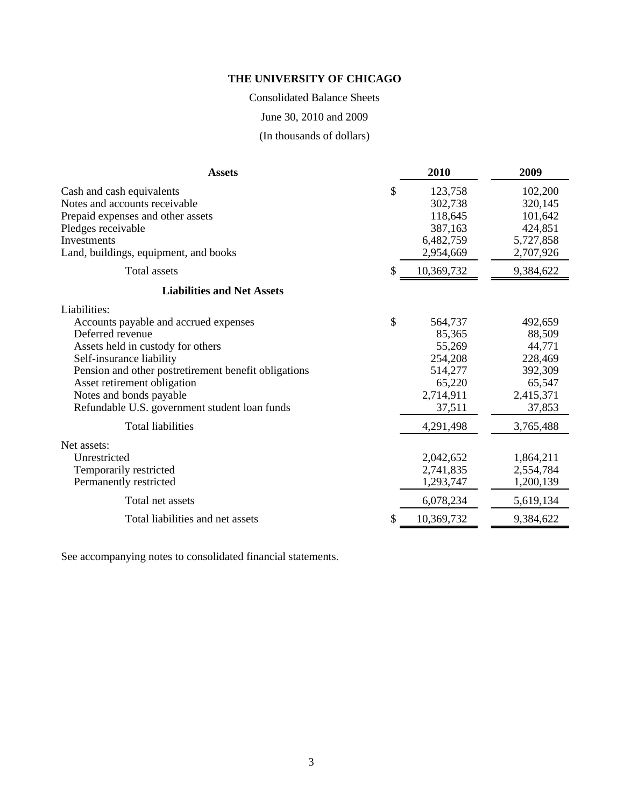## Consolidated Balance Sheets

June 30, 2010 and 2009

(In thousands of dollars)

| <b>Assets</b>                                                                                                                                                                                                                                                                                                                             | 2010                                                                                                  | 2009                                                                                            |
|-------------------------------------------------------------------------------------------------------------------------------------------------------------------------------------------------------------------------------------------------------------------------------------------------------------------------------------------|-------------------------------------------------------------------------------------------------------|-------------------------------------------------------------------------------------------------|
| Cash and cash equivalents<br>Notes and accounts receivable<br>Prepaid expenses and other assets<br>Pledges receivable<br>Investments<br>Land, buildings, equipment, and books                                                                                                                                                             | \$<br>123,758<br>302,738<br>118,645<br>387,163<br>6,482,759<br>2,954,669                              | 102,200<br>320,145<br>101,642<br>424,851<br>5,727,858<br>2,707,926                              |
| Total assets                                                                                                                                                                                                                                                                                                                              | 10,369,732                                                                                            | 9,384,622                                                                                       |
| <b>Liabilities and Net Assets</b>                                                                                                                                                                                                                                                                                                         |                                                                                                       |                                                                                                 |
| Liabilities:<br>Accounts payable and accrued expenses<br>Deferred revenue<br>Assets held in custody for others<br>Self-insurance liability<br>Pension and other postretirement benefit obligations<br>Asset retirement obligation<br>Notes and bonds payable<br>Refundable U.S. government student loan funds<br><b>Total liabilities</b> | \$<br>564,737<br>85,365<br>55,269<br>254,208<br>514,277<br>65,220<br>2,714,911<br>37,511<br>4,291,498 | 492,659<br>88,509<br>44,771<br>228,469<br>392,309<br>65,547<br>2,415,371<br>37,853<br>3,765,488 |
| Net assets:<br>Unrestricted<br>Temporarily restricted<br>Permanently restricted                                                                                                                                                                                                                                                           | 2,042,652<br>2,741,835<br>1,293,747                                                                   | 1,864,211<br>2,554,784<br>1,200,139                                                             |
| Total net assets                                                                                                                                                                                                                                                                                                                          | 6,078,234                                                                                             | 5,619,134                                                                                       |
| Total liabilities and net assets                                                                                                                                                                                                                                                                                                          | 10,369,732                                                                                            | 9,384,622                                                                                       |

See accompanying notes to consolidated financial statements.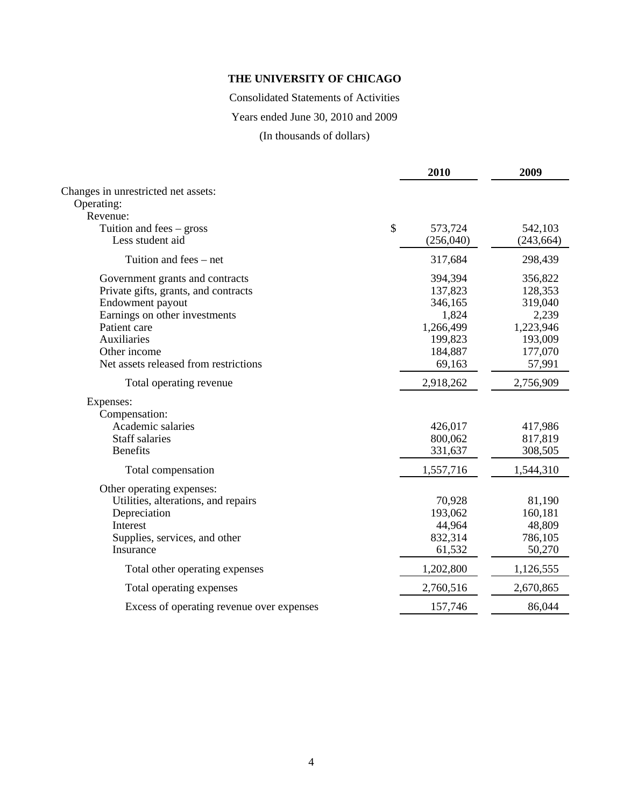Consolidated Statements of Activities

Years ended June 30, 2010 and 2009

(In thousands of dollars)

| Changes in unrestricted net assets:<br>Operating:<br>Revenue: | \$<br>573,724<br>(256,040) | 542,103    |
|---------------------------------------------------------------|----------------------------|------------|
|                                                               |                            |            |
|                                                               |                            |            |
|                                                               |                            |            |
| Tuition and fees $-$ gross                                    |                            |            |
| Less student aid                                              |                            | (243, 664) |
| Tuition and fees – net                                        | 317,684                    | 298,439    |
| Government grants and contracts                               | 394,394                    | 356,822    |
| Private gifts, grants, and contracts                          | 137,823                    | 128,353    |
| Endowment payout                                              | 346,165                    | 319,040    |
| Earnings on other investments                                 | 1,824                      | 2,239      |
| Patient care                                                  | 1,266,499                  | 1,223,946  |
| Auxiliaries                                                   | 199,823                    | 193,009    |
| Other income                                                  | 184,887                    | 177,070    |
| Net assets released from restrictions                         | 69,163                     | 57,991     |
| Total operating revenue                                       | 2,918,262                  | 2,756,909  |
| Expenses:                                                     |                            |            |
| Compensation:                                                 |                            |            |
| Academic salaries                                             | 426,017                    | 417,986    |
| <b>Staff salaries</b>                                         | 800,062                    | 817,819    |
| <b>Benefits</b>                                               | 331,637                    | 308,505    |
| Total compensation                                            | 1,557,716                  | 1,544,310  |
| Other operating expenses:                                     |                            |            |
| Utilities, alterations, and repairs                           | 70,928                     | 81,190     |
| Depreciation                                                  | 193,062                    | 160,181    |
| Interest                                                      | 44,964                     | 48,809     |
| Supplies, services, and other                                 | 832,314                    | 786,105    |
| Insurance                                                     | 61,532                     | 50,270     |
| Total other operating expenses                                | 1,202,800                  | 1,126,555  |
| Total operating expenses                                      | 2,760,516                  | 2,670,865  |
| Excess of operating revenue over expenses                     | 157,746                    | 86,044     |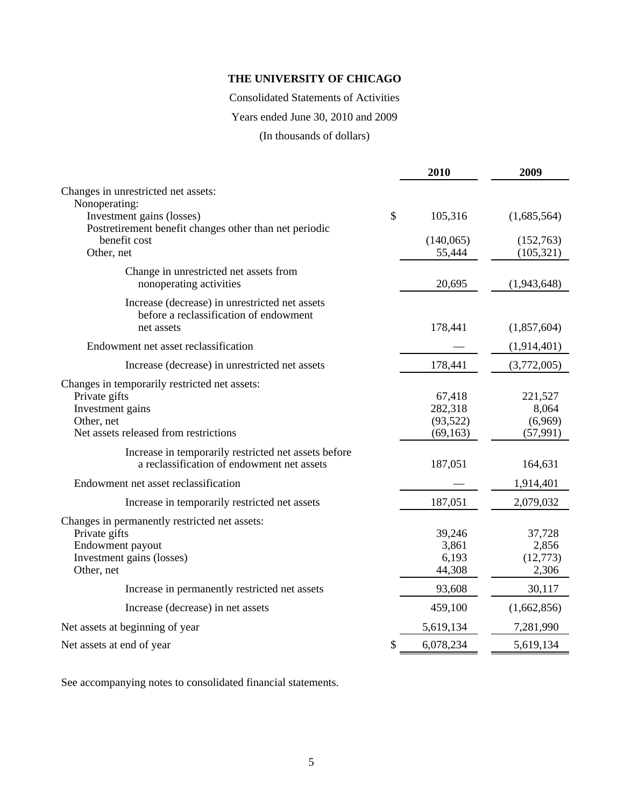Consolidated Statements of Activities

Years ended June 30, 2010 and 2009

(In thousands of dollars)

|                                                                                                                                           | 2010                                        | 2009                                     |
|-------------------------------------------------------------------------------------------------------------------------------------------|---------------------------------------------|------------------------------------------|
| Changes in unrestricted net assets:                                                                                                       |                                             |                                          |
| Nonoperating:<br>Investment gains (losses)<br>Postretirement benefit changes other than net periodic                                      | \$<br>105,316                               | (1,685,564)                              |
| benefit cost<br>Other, net                                                                                                                | (140,065)<br>55,444                         | (152,763)<br>(105, 321)                  |
| Change in unrestricted net assets from<br>nonoperating activities                                                                         | 20,695                                      | (1,943,648)                              |
| Increase (decrease) in unrestricted net assets<br>before a reclassification of endowment<br>net assets                                    | 178,441                                     | (1,857,604)                              |
| Endowment net asset reclassification                                                                                                      |                                             | (1,914,401)                              |
| Increase (decrease) in unrestricted net assets                                                                                            | 178,441                                     | (3,772,005)                              |
| Changes in temporarily restricted net assets:<br>Private gifts<br>Investment gains<br>Other, net<br>Net assets released from restrictions | 67,418<br>282,318<br>(93, 522)<br>(69, 163) | 221,527<br>8,064<br>(6,969)<br>(57, 991) |
| Increase in temporarily restricted net assets before<br>a reclassification of endowment net assets                                        | 187,051                                     | 164,631                                  |
| Endowment net asset reclassification                                                                                                      |                                             | 1,914,401                                |
| Increase in temporarily restricted net assets                                                                                             | 187,051                                     | 2,079,032                                |
| Changes in permanently restricted net assets:<br>Private gifts<br>Endowment payout<br>Investment gains (losses)<br>Other, net             | 39,246<br>3,861<br>6,193<br>44,308          | 37,728<br>2,856<br>(12,773)<br>2,306     |
| Increase in permanently restricted net assets                                                                                             | 93,608                                      | 30,117                                   |
| Increase (decrease) in net assets                                                                                                         | 459,100                                     | (1,662,856)                              |
| Net assets at beginning of year                                                                                                           | 5,619,134                                   | 7,281,990                                |
| Net assets at end of year                                                                                                                 | \$<br>6,078,234                             | 5,619,134                                |

See accompanying notes to consolidated financial statements.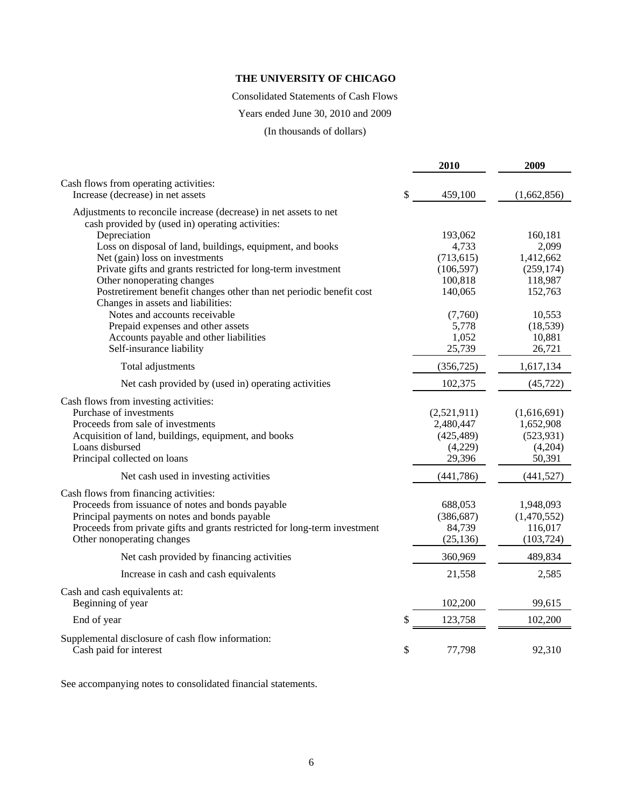Consolidated Statements of Cash Flows

Years ended June 30, 2010 and 2009

(In thousands of dollars)

|                                                                                                                                                                                                                                                         | 2010                                                        | 2009                                                        |
|---------------------------------------------------------------------------------------------------------------------------------------------------------------------------------------------------------------------------------------------------------|-------------------------------------------------------------|-------------------------------------------------------------|
| Cash flows from operating activities:<br>Increase (decrease) in net assets                                                                                                                                                                              | \$<br>459,100                                               | (1,662,856)                                                 |
| Adjustments to reconcile increase (decrease) in net assets to net<br>cash provided by (used in) operating activities:                                                                                                                                   |                                                             |                                                             |
| Depreciation                                                                                                                                                                                                                                            | 193,062                                                     | 160,181                                                     |
| Loss on disposal of land, buildings, equipment, and books                                                                                                                                                                                               | 4,733                                                       | 2,099                                                       |
| Net (gain) loss on investments                                                                                                                                                                                                                          | (713, 615)                                                  | 1,412,662                                                   |
| Private gifts and grants restricted for long-term investment                                                                                                                                                                                            | (106, 597)                                                  | (259, 174)                                                  |
| Other nonoperating changes                                                                                                                                                                                                                              | 100,818                                                     | 118,987                                                     |
| Postretirement benefit changes other than net periodic benefit cost<br>Changes in assets and liabilities:                                                                                                                                               | 140,065                                                     | 152,763                                                     |
| Notes and accounts receivable                                                                                                                                                                                                                           | (7,760)                                                     | 10,553                                                      |
| Prepaid expenses and other assets                                                                                                                                                                                                                       | 5,778                                                       | (18, 539)                                                   |
| Accounts payable and other liabilities                                                                                                                                                                                                                  | 1,052                                                       | 10,881                                                      |
| Self-insurance liability                                                                                                                                                                                                                                | 25,739                                                      | 26,721                                                      |
| Total adjustments                                                                                                                                                                                                                                       | (356, 725)                                                  | 1,617,134                                                   |
| Net cash provided by (used in) operating activities                                                                                                                                                                                                     | 102,375                                                     | (45, 722)                                                   |
| Cash flows from investing activities:<br>Purchase of investments<br>Proceeds from sale of investments<br>Acquisition of land, buildings, equipment, and books<br>Loans disbursed<br>Principal collected on loans                                        | (2,521,911)<br>2,480,447<br>(425, 489)<br>(4,229)<br>29,396 | (1,616,691)<br>1,652,908<br>(523, 931)<br>(4,204)<br>50,391 |
| Net cash used in investing activities                                                                                                                                                                                                                   | (441, 786)                                                  | (441, 527)                                                  |
| Cash flows from financing activities:<br>Proceeds from issuance of notes and bonds payable<br>Principal payments on notes and bonds payable<br>Proceeds from private gifts and grants restricted for long-term investment<br>Other nonoperating changes | 688,053<br>(386, 687)<br>84,739<br>(25, 136)                | 1,948,093<br>(1,470,552)<br>116,017<br>(103, 724)           |
| Net cash provided by financing activities                                                                                                                                                                                                               | 360,969                                                     | 489,834                                                     |
| Increase in cash and cash equivalents                                                                                                                                                                                                                   | 21,558                                                      | 2,585                                                       |
| Cash and cash equivalents at:<br>Beginning of year                                                                                                                                                                                                      | 102,200                                                     | 99,615                                                      |
| End of year                                                                                                                                                                                                                                             | \$<br>123,758                                               | 102,200                                                     |
| Supplemental disclosure of cash flow information:<br>Cash paid for interest                                                                                                                                                                             | \$<br>77,798                                                | 92,310                                                      |

See accompanying notes to consolidated financial statements.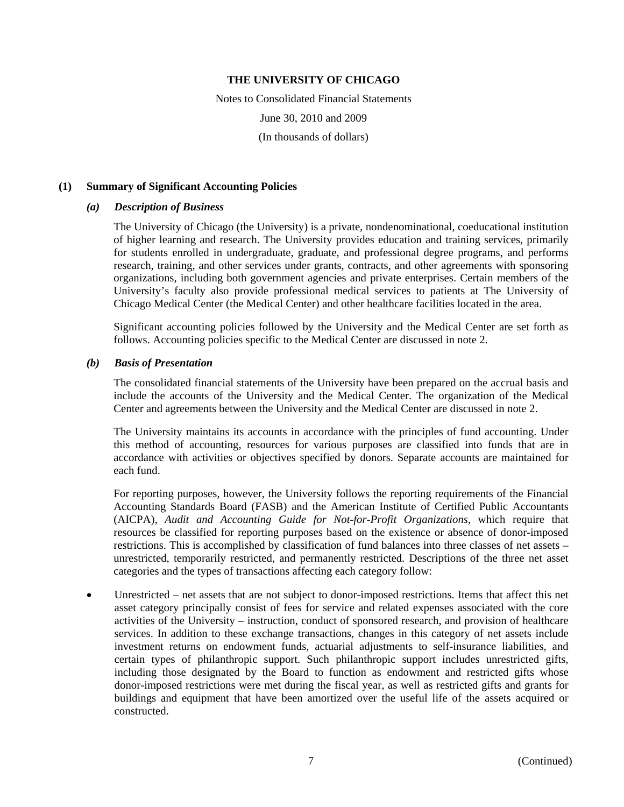Notes to Consolidated Financial Statements June 30, 2010 and 2009 (In thousands of dollars)

#### **(1) Summary of Significant Accounting Policies**

#### *(a) Description of Business*

The University of Chicago (the University) is a private, nondenominational, coeducational institution of higher learning and research. The University provides education and training services, primarily for students enrolled in undergraduate, graduate, and professional degree programs, and performs research, training, and other services under grants, contracts, and other agreements with sponsoring organizations, including both government agencies and private enterprises. Certain members of the University's faculty also provide professional medical services to patients at The University of Chicago Medical Center (the Medical Center) and other healthcare facilities located in the area.

Significant accounting policies followed by the University and the Medical Center are set forth as follows. Accounting policies specific to the Medical Center are discussed in note 2.

### *(b) Basis of Presentation*

The consolidated financial statements of the University have been prepared on the accrual basis and include the accounts of the University and the Medical Center. The organization of the Medical Center and agreements between the University and the Medical Center are discussed in note 2.

The University maintains its accounts in accordance with the principles of fund accounting. Under this method of accounting, resources for various purposes are classified into funds that are in accordance with activities or objectives specified by donors. Separate accounts are maintained for each fund.

For reporting purposes, however, the University follows the reporting requirements of the Financial Accounting Standards Board (FASB) and the American Institute of Certified Public Accountants (AICPA), *Audit and Accounting Guide for Not-for-Profit Organizations*, which require that resources be classified for reporting purposes based on the existence or absence of donor-imposed restrictions. This is accomplished by classification of fund balances into three classes of net assets – unrestricted, temporarily restricted, and permanently restricted. Descriptions of the three net asset categories and the types of transactions affecting each category follow:

 Unrestricted – net assets that are not subject to donor-imposed restrictions. Items that affect this net asset category principally consist of fees for service and related expenses associated with the core activities of the University – instruction, conduct of sponsored research, and provision of healthcare services. In addition to these exchange transactions, changes in this category of net assets include investment returns on endowment funds, actuarial adjustments to self-insurance liabilities, and certain types of philanthropic support. Such philanthropic support includes unrestricted gifts, including those designated by the Board to function as endowment and restricted gifts whose donor-imposed restrictions were met during the fiscal year, as well as restricted gifts and grants for buildings and equipment that have been amortized over the useful life of the assets acquired or constructed.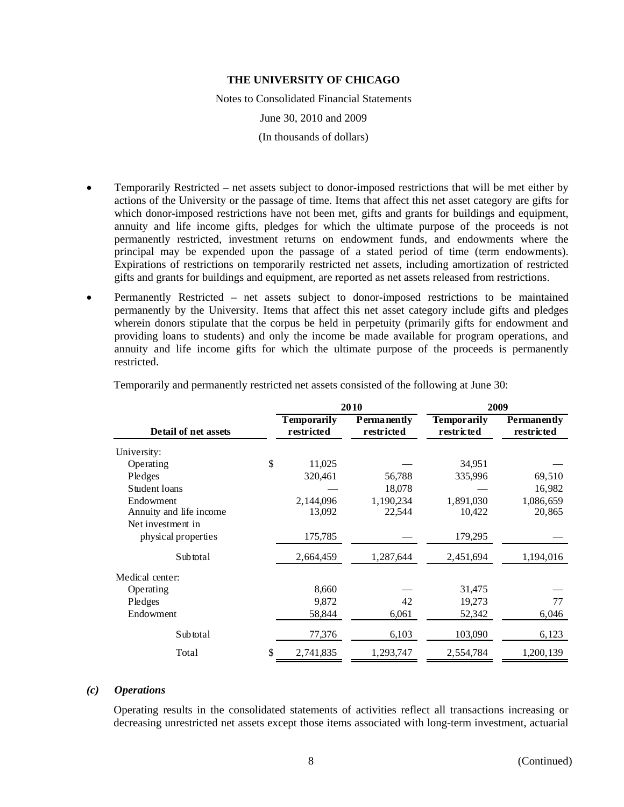Notes to Consolidated Financial Statements

June 30, 2010 and 2009

(In thousands of dollars)

- Temporarily Restricted net assets subject to donor-imposed restrictions that will be met either by actions of the University or the passage of time. Items that affect this net asset category are gifts for which donor-imposed restrictions have not been met, gifts and grants for buildings and equipment, annuity and life income gifts, pledges for which the ultimate purpose of the proceeds is not permanently restricted, investment returns on endowment funds, and endowments where the principal may be expended upon the passage of a stated period of time (term endowments). Expirations of restrictions on temporarily restricted net assets, including amortization of restricted gifts and grants for buildings and equipment, are reported as net assets released from restrictions.
- Permanently Restricted net assets subject to donor-imposed restrictions to be maintained permanently by the University. Items that affect this net asset category include gifts and pledges wherein donors stipulate that the corpus be held in perpetuity (primarily gifts for endowment and providing loans to students) and only the income be made available for program operations, and annuity and life income gifts for which the ultimate purpose of the proceeds is permanently restricted.

|                         |    |                                  | 2010                               | 2009                             |                           |  |
|-------------------------|----|----------------------------------|------------------------------------|----------------------------------|---------------------------|--|
| Detail of net assets    |    | <b>Temporarily</b><br>restricted | <b>P</b> erma nently<br>restricted | <b>Temporarily</b><br>restricted | Permanently<br>restricted |  |
| University:             |    |                                  |                                    |                                  |                           |  |
| Operating               | \$ | 11,025                           |                                    | 34,951                           |                           |  |
| Pledges                 |    | 320,461                          | 56,788                             | 335,996                          | 69,510                    |  |
| Student loans           |    |                                  | 18,078                             |                                  | 16,982                    |  |
| Endowment               |    | 2,144,096                        | 1,190,234                          | 1,891,030                        | 1,086,659                 |  |
| Annuity and life income |    | 13,092                           | 22,544                             | 10,422                           | 20,865                    |  |
| Net investment in       |    |                                  |                                    |                                  |                           |  |
| physical properties     |    | 175,785                          |                                    | 179,295                          |                           |  |
| Subtotal                |    | 2,664,459                        | 1,287,644                          | 2,451,694                        | 1,194,016                 |  |
| Medical center:         |    |                                  |                                    |                                  |                           |  |
| Operating               |    | 8,660                            |                                    | 31,475                           |                           |  |
| Pledges                 |    | 9,872                            | 42                                 | 19,273                           | 77                        |  |
| Endowment               |    | 58,844                           | 6,061                              | 52,342                           | 6,046                     |  |
| Sub total               |    | 77,376                           | 6,103                              | 103,090                          | 6,123                     |  |
| Total                   | \$ | 2,741,835                        | 1,293,747                          | 2,554,784                        | 1,200,139                 |  |

Temporarily and permanently restricted net assets consisted of the following at June 30:

#### *(c) Operations*

Operating results in the consolidated statements of activities reflect all transactions increasing or decreasing unrestricted net assets except those items associated with long-term investment, actuarial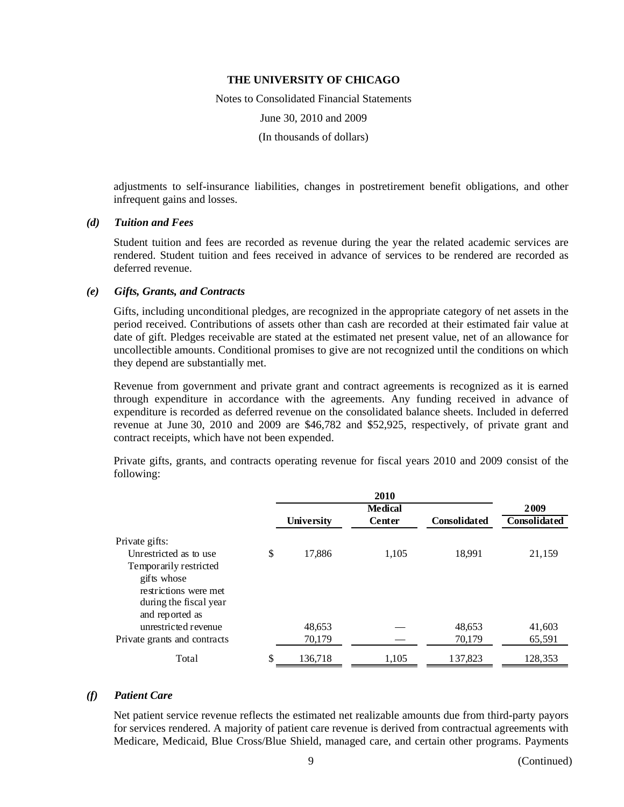Notes to Consolidated Financial Statements June 30, 2010 and 2009 (In thousands of dollars)

adjustments to self-insurance liabilities, changes in postretirement benefit obligations, and other infrequent gains and losses.

#### *(d) Tuition and Fees*

Student tuition and fees are recorded as revenue during the year the related academic services are rendered. Student tuition and fees received in advance of services to be rendered are recorded as deferred revenue.

#### *(e) Gifts, Grants, and Contracts*

Gifts, including unconditional pledges, are recognized in the appropriate category of net assets in the period received. Contributions of assets other than cash are recorded at their estimated fair value at date of gift. Pledges receivable are stated at the estimated net present value, net of an allowance for uncollectible amounts. Conditional promises to give are not recognized until the conditions on which they depend are substantially met.

Revenue from government and private grant and contract agreements is recognized as it is earned through expenditure in accordance with the agreements. Any funding received in advance of expenditure is recorded as deferred revenue on the consolidated balance sheets. Included in deferred revenue at June 30, 2010 and 2009 are \$46,782 and \$52,925, respectively, of private grant and contract receipts, which have not been expended.

Private gifts, grants, and contracts operating revenue for fiscal years 2010 and 2009 consist of the following:

|                              |               | 2009          |                     |              |
|------------------------------|---------------|---------------|---------------------|--------------|
|                              | University    | <b>Center</b> | <b>Consolidated</b> | Consolidated |
| Private gifts:               |               |               |                     |              |
| Unrestricted as to use       | \$<br>17,886  | 1,105         | 18,991              | 21,159       |
| Temporarily restricted       |               |               |                     |              |
| gifts whose                  |               |               |                     |              |
| restrictions were met        |               |               |                     |              |
| during the fiscal year       |               |               |                     |              |
| and reported as              |               |               |                     |              |
| unrestricted revenue         | 48,653        |               | 48,653              | 41,603       |
| Private grants and contracts | 70,179        |               | 70,179              | 65,591       |
| Total                        | \$<br>136,718 | 1,105         | 137.823             | 128,353      |

#### *(f) Patient Care*

Net patient service revenue reflects the estimated net realizable amounts due from third-party payors for services rendered. A majority of patient care revenue is derived from contractual agreements with Medicare, Medicaid, Blue Cross/Blue Shield, managed care, and certain other programs. Payments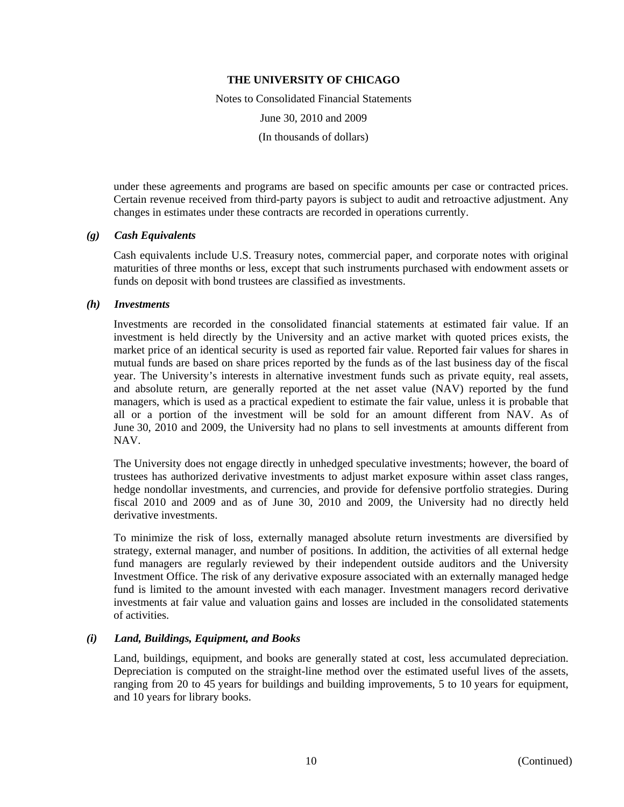Notes to Consolidated Financial Statements

June 30, 2010 and 2009

(In thousands of dollars)

under these agreements and programs are based on specific amounts per case or contracted prices. Certain revenue received from third-party payors is subject to audit and retroactive adjustment. Any changes in estimates under these contracts are recorded in operations currently.

### *(g) Cash Equivalents*

Cash equivalents include U.S. Treasury notes, commercial paper, and corporate notes with original maturities of three months or less, except that such instruments purchased with endowment assets or funds on deposit with bond trustees are classified as investments.

### *(h) Investments*

Investments are recorded in the consolidated financial statements at estimated fair value. If an investment is held directly by the University and an active market with quoted prices exists, the market price of an identical security is used as reported fair value. Reported fair values for shares in mutual funds are based on share prices reported by the funds as of the last business day of the fiscal year. The University's interests in alternative investment funds such as private equity, real assets, and absolute return, are generally reported at the net asset value (NAV) reported by the fund managers, which is used as a practical expedient to estimate the fair value, unless it is probable that all or a portion of the investment will be sold for an amount different from NAV. As of June 30, 2010 and 2009, the University had no plans to sell investments at amounts different from NAV.

The University does not engage directly in unhedged speculative investments; however, the board of trustees has authorized derivative investments to adjust market exposure within asset class ranges, hedge nondollar investments, and currencies, and provide for defensive portfolio strategies. During fiscal 2010 and 2009 and as of June 30, 2010 and 2009, the University had no directly held derivative investments.

To minimize the risk of loss, externally managed absolute return investments are diversified by strategy, external manager, and number of positions. In addition, the activities of all external hedge fund managers are regularly reviewed by their independent outside auditors and the University Investment Office. The risk of any derivative exposure associated with an externally managed hedge fund is limited to the amount invested with each manager. Investment managers record derivative investments at fair value and valuation gains and losses are included in the consolidated statements of activities.

## *(i) Land, Buildings, Equipment, and Books*

Land, buildings, equipment, and books are generally stated at cost, less accumulated depreciation. Depreciation is computed on the straight-line method over the estimated useful lives of the assets, ranging from 20 to 45 years for buildings and building improvements, 5 to 10 years for equipment, and 10 years for library books.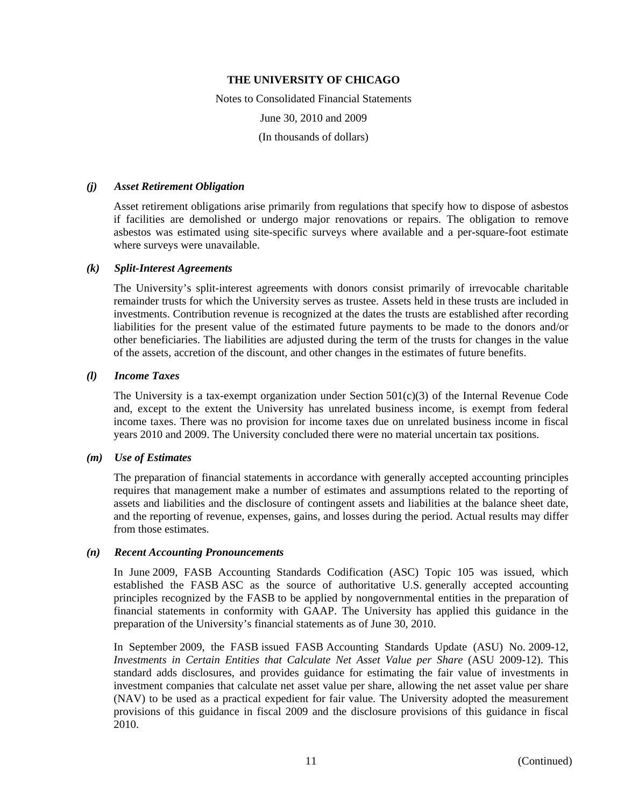Notes to Consolidated Financial Statements June 30, 2010 and 2009 (In thousands of dollars)

#### *(j) Asset Retirement Obligation*

Asset retirement obligations arise primarily from regulations that specify how to dispose of asbestos if facilities are demolished or undergo major renovations or repairs. The obligation to remove asbestos was estimated using site-specific surveys where available and a per-square-foot estimate where surveys were unavailable.

### *(k) Split-Interest Agreements*

The University's split-interest agreements with donors consist primarily of irrevocable charitable remainder trusts for which the University serves as trustee. Assets held in these trusts are included in investments. Contribution revenue is recognized at the dates the trusts are established after recording liabilities for the present value of the estimated future payments to be made to the donors and/or other beneficiaries. The liabilities are adjusted during the term of the trusts for changes in the value of the assets, accretion of the discount, and other changes in the estimates of future benefits.

### *(l) Income Taxes*

The University is a tax-exempt organization under Section  $501(c)(3)$  of the Internal Revenue Code and, except to the extent the University has unrelated business income, is exempt from federal income taxes. There was no provision for income taxes due on unrelated business income in fiscal years 2010 and 2009. The University concluded there were no material uncertain tax positions.

#### *(m) Use of Estimates*

The preparation of financial statements in accordance with generally accepted accounting principles requires that management make a number of estimates and assumptions related to the reporting of assets and liabilities and the disclosure of contingent assets and liabilities at the balance sheet date, and the reporting of revenue, expenses, gains, and losses during the period. Actual results may differ from those estimates.

#### *(n) Recent Accounting Pronouncements*

In June 2009, FASB Accounting Standards Codification (ASC) Topic 105 was issued, which established the FASB ASC as the source of authoritative U.S. generally accepted accounting principles recognized by the FASB to be applied by nongovernmental entities in the preparation of financial statements in conformity with GAAP. The University has applied this guidance in the preparation of the University's financial statements as of June 30, 2010.

In September 2009, the FASB issued FASB Accounting Standards Update (ASU) No. 2009-12, *Investments in Certain Entities that Calculate Net Asset Value per Share* (ASU 2009-12). This standard adds disclosures, and provides guidance for estimating the fair value of investments in investment companies that calculate net asset value per share, allowing the net asset value per share (NAV) to be used as a practical expedient for fair value. The University adopted the measurement provisions of this guidance in fiscal 2009 and the disclosure provisions of this guidance in fiscal 2010.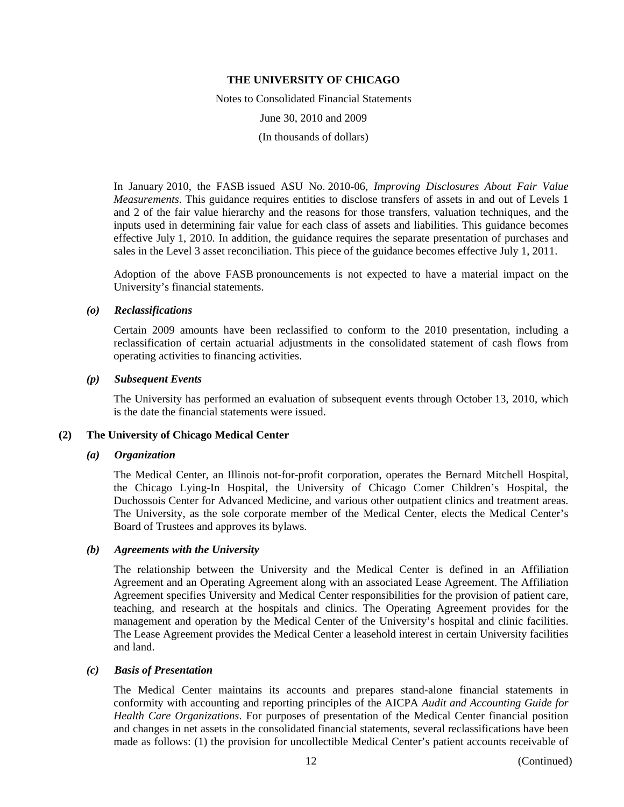Notes to Consolidated Financial Statements June 30, 2010 and 2009 (In thousands of dollars)

In January 2010, the FASB issued ASU No. 2010-06, *Improving Disclosures About Fair Value Measurements*. This guidance requires entities to disclose transfers of assets in and out of Levels 1 and 2 of the fair value hierarchy and the reasons for those transfers, valuation techniques, and the inputs used in determining fair value for each class of assets and liabilities. This guidance becomes effective July 1, 2010. In addition, the guidance requires the separate presentation of purchases and sales in the Level 3 asset reconciliation. This piece of the guidance becomes effective July 1, 2011.

Adoption of the above FASB pronouncements is not expected to have a material impact on the University's financial statements.

### *(o) Reclassifications*

Certain 2009 amounts have been reclassified to conform to the 2010 presentation, including a reclassification of certain actuarial adjustments in the consolidated statement of cash flows from operating activities to financing activities.

### *(p) Subsequent Events*

The University has performed an evaluation of subsequent events through October 13, 2010, which is the date the financial statements were issued.

## **(2) The University of Chicago Medical Center**

#### *(a) Organization*

The Medical Center, an Illinois not-for-profit corporation, operates the Bernard Mitchell Hospital, the Chicago Lying-In Hospital, the University of Chicago Comer Children's Hospital, the Duchossois Center for Advanced Medicine, and various other outpatient clinics and treatment areas. The University, as the sole corporate member of the Medical Center, elects the Medical Center's Board of Trustees and approves its bylaws.

## *(b) Agreements with the University*

The relationship between the University and the Medical Center is defined in an Affiliation Agreement and an Operating Agreement along with an associated Lease Agreement. The Affiliation Agreement specifies University and Medical Center responsibilities for the provision of patient care, teaching, and research at the hospitals and clinics. The Operating Agreement provides for the management and operation by the Medical Center of the University's hospital and clinic facilities. The Lease Agreement provides the Medical Center a leasehold interest in certain University facilities and land.

#### *(c) Basis of Presentation*

The Medical Center maintains its accounts and prepares stand-alone financial statements in conformity with accounting and reporting principles of the AICPA *Audit and Accounting Guide for Health Care Organizations*. For purposes of presentation of the Medical Center financial position and changes in net assets in the consolidated financial statements, several reclassifications have been made as follows: (1) the provision for uncollectible Medical Center's patient accounts receivable of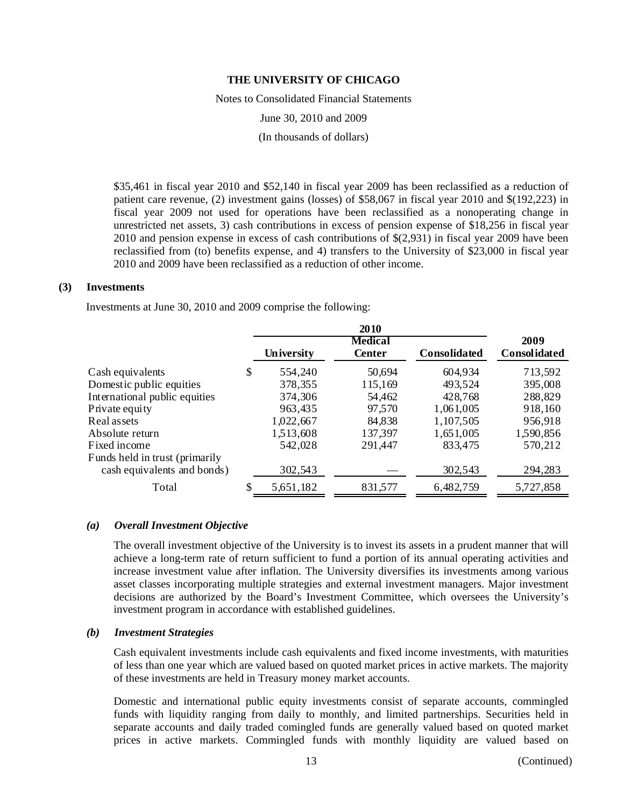Notes to Consolidated Financial Statements

June 30, 2010 and 2009

(In thousands of dollars)

\$35,461 in fiscal year 2010 and \$52,140 in fiscal year 2009 has been reclassified as a reduction of patient care revenue, (2) investment gains (losses) of \$58,067 in fiscal year 2010 and \$(192,223) in fiscal year 2009 not used for operations have been reclassified as a nonoperating change in unrestricted net assets, 3) cash contributions in excess of pension expense of \$18,256 in fiscal year 2010 and pension expense in excess of cash contributions of \$(2,931) in fiscal year 2009 have been reclassified from (to) benefits expense, and 4) transfers to the University of \$23,000 in fiscal year 2010 and 2009 have been reclassified as a reduction of other income.

#### **(3) Investments**

Investments at June 30, 2010 and 2009 comprise the following:

|                                                               | University      | <b>Medical</b><br><b>Center</b> | <b>Consolidated</b> | 2009<br>Consolidated |
|---------------------------------------------------------------|-----------------|---------------------------------|---------------------|----------------------|
| Cash equivalents                                              | \$<br>554,240   | 50,694                          | 604,934             | 713,592              |
| Domestic public equities                                      | 378,355         | 115,169                         | 493,524             | 395,008              |
| International public equities                                 | 374,306         | 54,462                          | 428,768             | 288,829              |
| Private equity                                                | 963,435         | 97,570                          | 1,061,005           | 918,160              |
| Real assets                                                   | 1,022,667       | 84,838                          | 1,107,505           | 956,918              |
| Absolute return                                               | 1,513,608       | 137,397                         | 1,651,005           | 1,590,856            |
| Fixed income                                                  | 542,028         | 291,447                         | 833,475             | 570,212              |
| Funds held in trust (primarily<br>cash equivalents and bonds) | 302,543         |                                 | 302,543             | 294,283              |
| Total                                                         | \$<br>5,651,182 | 831,577                         | 6,482,759           | 5,727,858            |

#### *(a) Overall Investment Objective*

The overall investment objective of the University is to invest its assets in a prudent manner that will achieve a long-term rate of return sufficient to fund a portion of its annual operating activities and increase investment value after inflation. The University diversifies its investments among various asset classes incorporating multiple strategies and external investment managers. Major investment decisions are authorized by the Board's Investment Committee, which oversees the University's investment program in accordance with established guidelines.

#### *(b) Investment Strategies*

Cash equivalent investments include cash equivalents and fixed income investments, with maturities of less than one year which are valued based on quoted market prices in active markets. The majority of these investments are held in Treasury money market accounts.

Domestic and international public equity investments consist of separate accounts, commingled funds with liquidity ranging from daily to monthly, and limited partnerships. Securities held in separate accounts and daily traded comingled funds are generally valued based on quoted market prices in active markets. Commingled funds with monthly liquidity are valued based on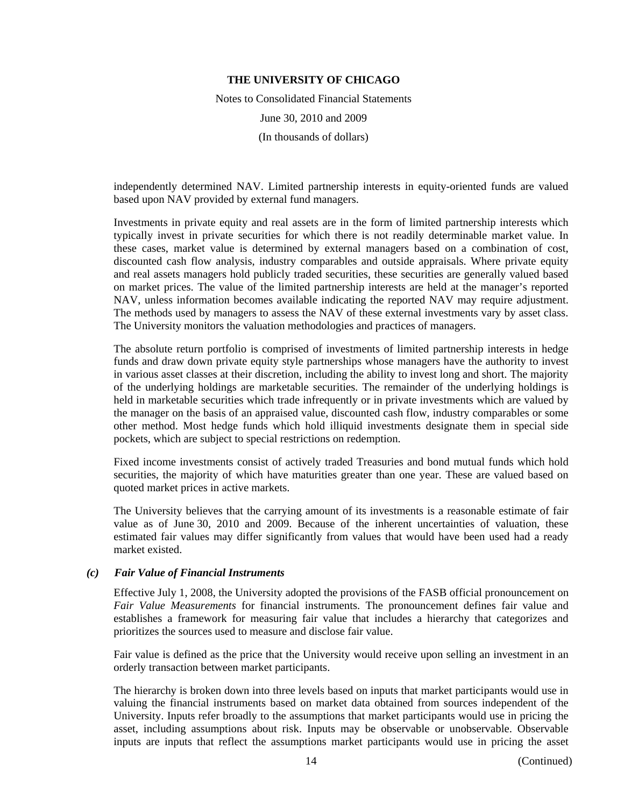Notes to Consolidated Financial Statements June 30, 2010 and 2009 (In thousands of dollars)

independently determined NAV. Limited partnership interests in equity-oriented funds are valued based upon NAV provided by external fund managers.

Investments in private equity and real assets are in the form of limited partnership interests which typically invest in private securities for which there is not readily determinable market value. In these cases, market value is determined by external managers based on a combination of cost, discounted cash flow analysis, industry comparables and outside appraisals. Where private equity and real assets managers hold publicly traded securities, these securities are generally valued based on market prices. The value of the limited partnership interests are held at the manager's reported NAV, unless information becomes available indicating the reported NAV may require adjustment. The methods used by managers to assess the NAV of these external investments vary by asset class. The University monitors the valuation methodologies and practices of managers.

The absolute return portfolio is comprised of investments of limited partnership interests in hedge funds and draw down private equity style partnerships whose managers have the authority to invest in various asset classes at their discretion, including the ability to invest long and short. The majority of the underlying holdings are marketable securities. The remainder of the underlying holdings is held in marketable securities which trade infrequently or in private investments which are valued by the manager on the basis of an appraised value, discounted cash flow, industry comparables or some other method. Most hedge funds which hold illiquid investments designate them in special side pockets, which are subject to special restrictions on redemption.

Fixed income investments consist of actively traded Treasuries and bond mutual funds which hold securities, the majority of which have maturities greater than one year. These are valued based on quoted market prices in active markets.

The University believes that the carrying amount of its investments is a reasonable estimate of fair value as of June 30, 2010 and 2009. Because of the inherent uncertainties of valuation, these estimated fair values may differ significantly from values that would have been used had a ready market existed.

## *(c) Fair Value of Financial Instruments*

Effective July 1, 2008, the University adopted the provisions of the FASB official pronouncement on *Fair Value Measurements* for financial instruments. The pronouncement defines fair value and establishes a framework for measuring fair value that includes a hierarchy that categorizes and prioritizes the sources used to measure and disclose fair value.

Fair value is defined as the price that the University would receive upon selling an investment in an orderly transaction between market participants.

The hierarchy is broken down into three levels based on inputs that market participants would use in valuing the financial instruments based on market data obtained from sources independent of the University. Inputs refer broadly to the assumptions that market participants would use in pricing the asset, including assumptions about risk. Inputs may be observable or unobservable. Observable inputs are inputs that reflect the assumptions market participants would use in pricing the asset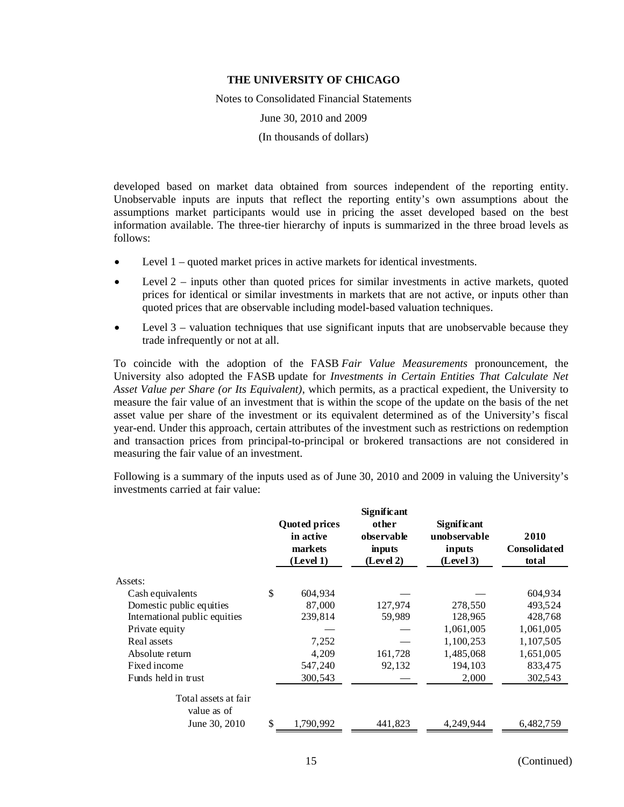Notes to Consolidated Financial Statements

June 30, 2010 and 2009

(In thousands of dollars)

developed based on market data obtained from sources independent of the reporting entity. Unobservable inputs are inputs that reflect the reporting entity's own assumptions about the assumptions market participants would use in pricing the asset developed based on the best information available. The three-tier hierarchy of inputs is summarized in the three broad levels as follows:

- Level 1 quoted market prices in active markets for identical investments.
- $\bullet$  Level 2 inputs other than quoted prices for similar investments in active markets, quoted prices for identical or similar investments in markets that are not active, or inputs other than quoted prices that are observable including model-based valuation techniques.
- Level 3 valuation techniques that use significant inputs that are unobservable because they trade infrequently or not at all.

To coincide with the adoption of the FASB *Fair Value Measurements* pronouncement, the University also adopted the FASB update for *Investments in Certain Entities That Calculate Net Asset Value per Share (or Its Equivalent)*, which permits, as a practical expedient, the University to measure the fair value of an investment that is within the scope of the update on the basis of the net asset value per share of the investment or its equivalent determined as of the University's fiscal year-end. Under this approach, certain attributes of the investment such as restrictions on redemption and transaction prices from principal-to-principal or brokered transactions are not considered in measuring the fair value of an investment.

Following is a summary of the inputs used as of June 30, 2010 and 2009 in valuing the University's investments carried at fair value:

|                                     | <b>Quoted prices</b><br>in active<br>markets<br>(Level 1) |           | Significant<br>other<br>unobservable<br>observable<br>inputs<br>(Level 2) |           | 2010<br><b>Consolidated</b><br>total |  |
|-------------------------------------|-----------------------------------------------------------|-----------|---------------------------------------------------------------------------|-----------|--------------------------------------|--|
| Assets:                             |                                                           |           |                                                                           |           |                                      |  |
| Cash equivalents                    | \$                                                        | 604,934   |                                                                           |           | 604,934                              |  |
| Domestic public equities            |                                                           | 87,000    | 127,974                                                                   | 278,550   | 493,524                              |  |
| International public equities       |                                                           | 239,814   | 59,989                                                                    | 128,965   | 428,768                              |  |
| Private equity                      |                                                           |           |                                                                           | 1,061,005 | 1,061,005                            |  |
| Real assets                         |                                                           | 7,252     |                                                                           | 1,100,253 | 1,107,505                            |  |
| Absolute return                     |                                                           | 4,209     | 161,728                                                                   | 1,485,068 | 1,651,005                            |  |
| Fixed income                        |                                                           | 547,240   | 92,132                                                                    | 194,103   | 833,475                              |  |
| Funds held in trust                 |                                                           | 300,543   |                                                                           | 2,000     | 302,543                              |  |
| Total assets at fair<br>value as of |                                                           |           |                                                                           |           |                                      |  |
| June 30, 2010                       | \$                                                        | 1.790.992 | 441.823                                                                   | 4,249,944 | 6,482,759                            |  |
|                                     |                                                           |           |                                                                           |           |                                      |  |

15 (Continued)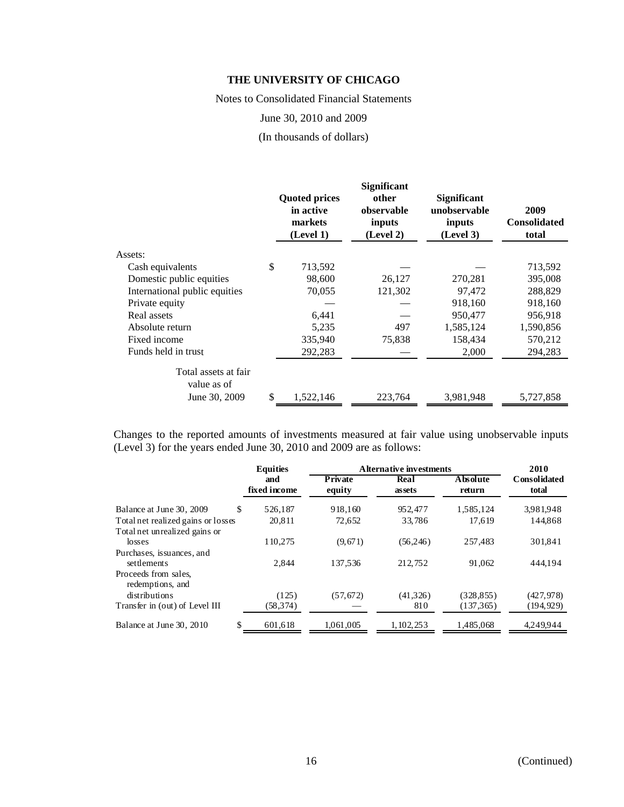Notes to Consolidated Financial Statements

June 30, 2010 and 2009

(In thousands of dollars)

|                                     |     | <b>Quoted prices</b><br>in active<br>markets<br>(Level 1) | <b>Significant</b><br>other<br>observable<br>inputs<br>(Level 2) | <b>Significant</b><br>unobservable<br>inputs<br>(Level 3) | 2009<br><b>Consolidated</b><br>total |
|-------------------------------------|-----|-----------------------------------------------------------|------------------------------------------------------------------|-----------------------------------------------------------|--------------------------------------|
| Assets:                             |     |                                                           |                                                                  |                                                           |                                      |
| Cash equivalents                    | \$  | 713,592                                                   |                                                                  |                                                           | 713,592                              |
| Domestic public equities            |     | 98,600                                                    | 26,127                                                           | 270,281                                                   | 395,008                              |
| International public equities       |     | 70,055                                                    | 121,302                                                          | 97,472                                                    | 288,829                              |
| Private equity                      |     |                                                           |                                                                  | 918,160                                                   | 918,160                              |
| Real assets                         |     | 6,441                                                     |                                                                  | 950,477                                                   | 956,918                              |
| Absolute return                     |     | 5,235                                                     | 497                                                              | 1,585,124                                                 | 1,590,856                            |
| Fixed income                        |     | 335,940                                                   | 75,838                                                           | 158,434                                                   | 570,212                              |
| Funds held in trust                 |     | 292,283                                                   |                                                                  | 2,000                                                     | 294,283                              |
| Total assets at fair<br>value as of |     |                                                           |                                                                  |                                                           |                                      |
| June 30, 2009                       | \$. | 1,522,146                                                 | 223,764                                                          | 3,981,948                                                 | 5,727,858                            |

Changes to the reported amounts of investments measured at fair value using unobservable inputs (Level 3) for the years ended June 30, 2010 and 2009 are as follows:

|                                          | <b>Equities</b>     | Alternative investments  |                |                    |                       |  |  |  |
|------------------------------------------|---------------------|--------------------------|----------------|--------------------|-----------------------|--|--|--|
|                                          | and<br>fixed income | <b>Private</b><br>equity | Real<br>assets | Absolute<br>return | Consolidated<br>total |  |  |  |
| \$<br>Balance at June 30, 2009           | 526.187             | 918,160                  | 952,477        | 1,585,124          | 3,981,948             |  |  |  |
| Total net realized gains or losses       | 20,811              | 72,652                   | 33,786         | 17,619             | 144,868               |  |  |  |
| Total net unrealized gains or            |                     |                          |                |                    |                       |  |  |  |
| losses                                   | 110.275             | (9,671)                  | (56, 246)      | 257.483            | 301.841               |  |  |  |
| Purchases, issuances, and                |                     |                          |                |                    |                       |  |  |  |
| settlements                              | 2.844               | 137.536                  | 212.752        | 91,062             | 444.194               |  |  |  |
| Proceeds from sales.<br>redemptions, and |                     |                          |                |                    |                       |  |  |  |
| distributions                            | (125)               | (57, 672)                | (41, 326)      | (328, 855)         | (427, 978)            |  |  |  |
| Transfer in (out) of Level III           | (58, 374)           |                          | 810            | (137, 365)         | (194,929)             |  |  |  |
| \$<br>Balance at June 30, 2010           | 601.618             | 1.061.005                | 1, 102, 253    | 1.485.068          | 4.249.944             |  |  |  |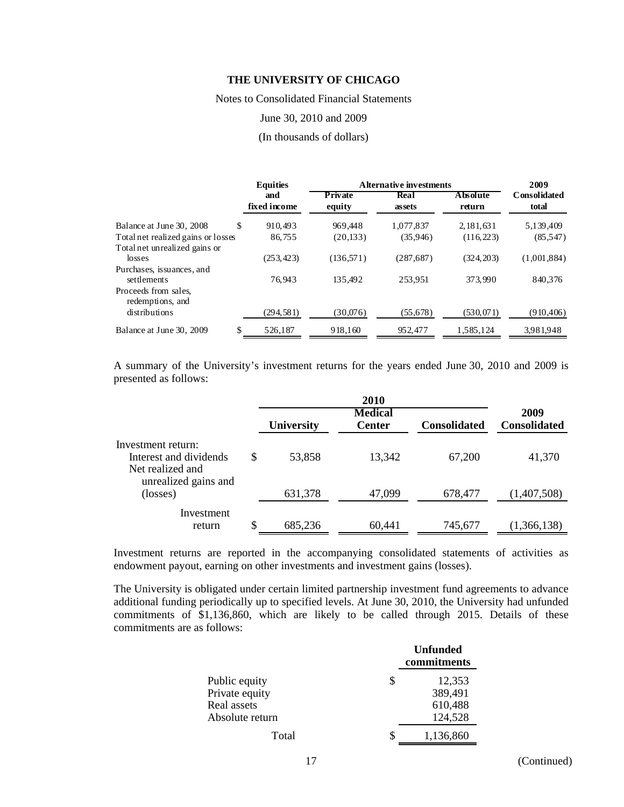Notes to Consolidated Financial Statements

June 30, 2010 and 2009

#### (In thousands of dollars)

|                                          | <b>Equities</b>     |                   | A Iternative investments |                            |                       |  |  |  |
|------------------------------------------|---------------------|-------------------|--------------------------|----------------------------|-----------------------|--|--|--|
|                                          | and<br>fixed income | Private<br>equity | Real<br>assets           | <b>A</b> hsolute<br>return | Consolidated<br>total |  |  |  |
| Balance at June 30, 2008                 | \$.<br>910.493      | 969.448           | 1,077,837                | 2, 181, 631                | 5,139,409             |  |  |  |
| Total net realized gains or losses       | 86,755              | (20, 133)         | (35,946)                 | (116, 223)                 | (85, 547)             |  |  |  |
| Total net unrealized gains or<br>losses  | (253, 423)          | (136,571)         | (287, 687)               | (324, 203)                 | (1,001,884)           |  |  |  |
| Purchases, issuances, and<br>settlements | 76.943              | 135.492           | 253.951                  | 373.990                    | 840,376               |  |  |  |
| Proceeds from sales,<br>redemptions, and |                     |                   |                          |                            |                       |  |  |  |
| distributions                            | (294, 581)          | (30,076)          | (55, 678)                | (530, 071)                 | (910, 406)            |  |  |  |
| Balance at June 30, 2009                 | \$<br>526,187       | 918,160           | 952,477                  | 1,585,124                  | 3,981,948             |  |  |  |

A summary of the University's investment returns for the years ended June 30, 2010 and 2009 is presented as follows:

|                                                                                          |    |                   | 2010           |                     |                     |
|------------------------------------------------------------------------------------------|----|-------------------|----------------|---------------------|---------------------|
|                                                                                          |    |                   | <b>Medical</b> |                     | 2009                |
|                                                                                          |    | <b>University</b> | <b>Center</b>  | <b>Consolidated</b> | <b>Consolidated</b> |
| Investment return:<br>Interest and dividends<br>Net realized and<br>unrealized gains and | S  | 53,858            | 13,342         | 67,200              | 41,370              |
| (losses)                                                                                 |    | 631,378           | 47,099         | 678,477             | (1,407,508)         |
| Investment<br>return                                                                     | \$ | 685,236           | 60,441         | 745,677             | (1,366,138)         |

Investment returns are reported in the accompanying consolidated statements of activities as endowment payout, earning on other investments and investment gains (losses).

The University is obligated under certain limited partnership investment fund agreements to advance additional funding periodically up to specified levels. At June 30, 2010, the University had unfunded commitments of \$1,136,860, which are likely to be called through 2015. Details of these commitments are as follows:

|                 |   | <b>Unfunded</b><br>commitments |
|-----------------|---|--------------------------------|
| Public equity   | S | 12,353                         |
| Private equity  |   | 389,491                        |
| Real assets     |   | 610,488                        |
| Absolute return |   | 124,528                        |
| Total           |   | 1,136,860                      |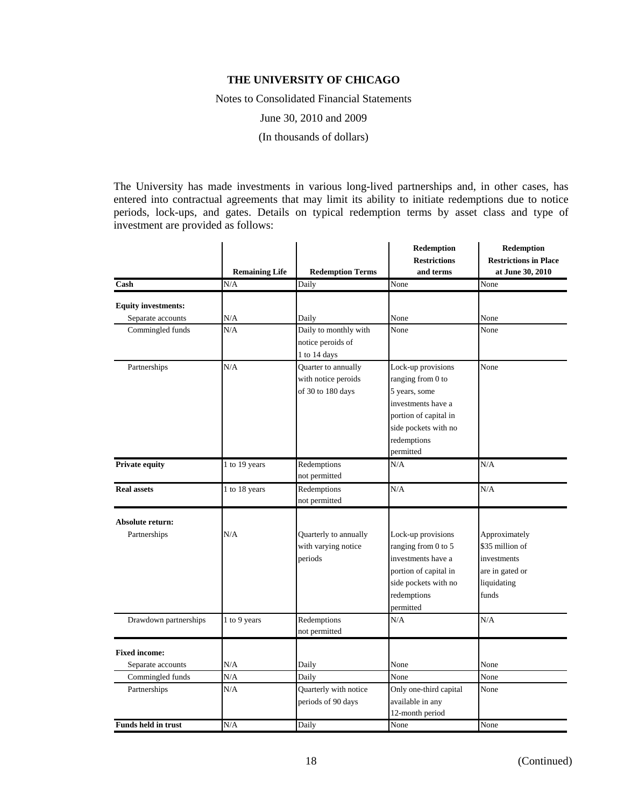Notes to Consolidated Financial Statements

June 30, 2010 and 2009

(In thousands of dollars)

The University has made investments in various long-lived partnerships and, in other cases, has entered into contractual agreements that may limit its ability to initiate redemptions due to notice periods, lock-ups, and gates. Details on typical redemption terms by asset class and type of investment are provided as follows:

|                                                 | <b>Remaining Life</b> | <b>Redemption Terms</b> | Redemption<br><b>Restrictions</b><br>and terms | Redemption<br><b>Restrictions in Place</b><br>at June 30, 2010 |
|-------------------------------------------------|-----------------------|-------------------------|------------------------------------------------|----------------------------------------------------------------|
| Cash                                            | N/A                   | Daily                   | None                                           | None                                                           |
|                                                 |                       |                         |                                                |                                                                |
| <b>Equity investments:</b><br>Separate accounts | N/A                   | Daily                   | None                                           | None                                                           |
| Commingled funds                                | N/A                   | Daily to monthly with   | None                                           | None                                                           |
|                                                 |                       | notice peroids of       |                                                |                                                                |
|                                                 |                       | 1 to 14 days            |                                                |                                                                |
| Partnerships                                    | N/A                   | Quarter to annually     | Lock-up provisions                             | None                                                           |
|                                                 |                       | with notice peroids     | ranging from 0 to                              |                                                                |
|                                                 |                       | of 30 to 180 days       | 5 years, some                                  |                                                                |
|                                                 |                       |                         | investments have a                             |                                                                |
|                                                 |                       |                         | portion of capital in                          |                                                                |
|                                                 |                       |                         | side pockets with no                           |                                                                |
|                                                 |                       |                         | redemptions                                    |                                                                |
|                                                 |                       |                         | permitted                                      |                                                                |
| <b>Private equity</b>                           | 1 to 19 years         | Redemptions             | N/A                                            | N/A                                                            |
|                                                 |                       | not permitted           |                                                |                                                                |
| <b>Real assets</b>                              | 1 to 18 years         | Redemptions             | N/A                                            | N/A                                                            |
|                                                 |                       | not permitted           |                                                |                                                                |
|                                                 |                       |                         |                                                |                                                                |
| Absolute return:<br>Partnerships                | N/A                   | Quarterly to annually   | Lock-up provisions                             | Approximately                                                  |
|                                                 |                       | with varying notice     | ranging from 0 to 5                            | \$35 million of                                                |
|                                                 |                       | periods                 | investments have a                             | investments                                                    |
|                                                 |                       |                         |                                                |                                                                |
|                                                 |                       |                         | portion of capital in<br>side pockets with no  | are in gated or<br>liquidating                                 |
|                                                 |                       |                         | redemptions                                    | funds                                                          |
|                                                 |                       |                         | permitted                                      |                                                                |
| Drawdown partnerships                           | 1 to 9 years          | Redemptions             | N/A                                            | N/A                                                            |
|                                                 |                       | not permitted           |                                                |                                                                |
|                                                 |                       |                         |                                                |                                                                |
| <b>Fixed income:</b>                            |                       |                         |                                                |                                                                |
| Separate accounts                               | N/A                   | Daily                   | None                                           | None                                                           |
| Commingled funds                                | N/A                   | Daily                   | None                                           | None                                                           |
| Partnerships                                    | N/A                   | Quarterly with notice   | Only one-third capital                         | None                                                           |
|                                                 |                       | periods of 90 days      | available in any                               |                                                                |
|                                                 |                       |                         | 12-month period                                |                                                                |
| <b>Funds held in trust</b>                      | N/A                   | Daily                   | None                                           | None                                                           |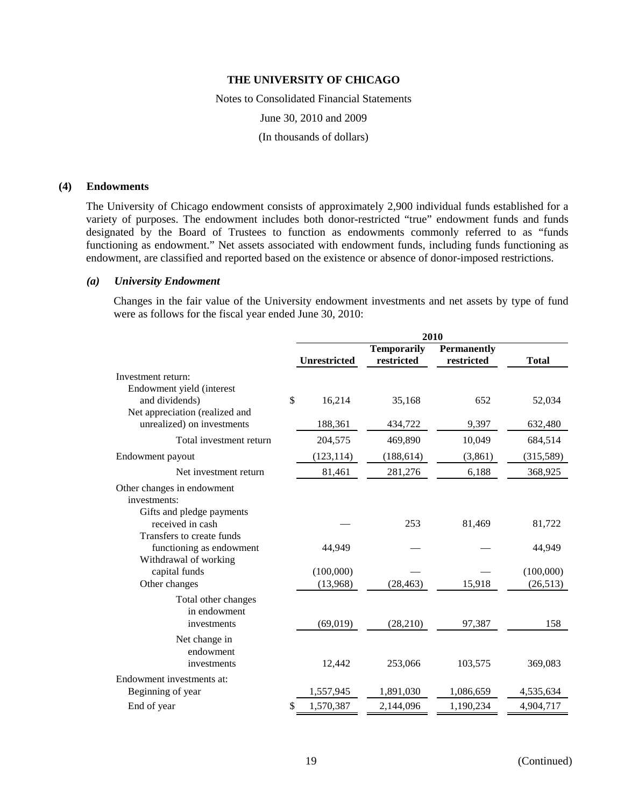Notes to Consolidated Financial Statements June 30, 2010 and 2009 (In thousands of dollars)

### **(4) Endowments**

The University of Chicago endowment consists of approximately 2,900 individual funds established for a variety of purposes. The endowment includes both donor-restricted "true" endowment funds and funds designated by the Board of Trustees to function as endowments commonly referred to as "funds functioning as endowment." Net assets associated with endowment funds, including funds functioning as endowment, are classified and reported based on the existence or absence of donor-imposed restrictions.

#### *(a) University Endowment*

Changes in the fair value of the University endowment investments and net assets by type of fund were as follows for the fiscal year ended June 30, 2010:

|                                | 2010 |                     |                                  |                                  |              |
|--------------------------------|------|---------------------|----------------------------------|----------------------------------|--------------|
|                                |      | <b>Unrestricted</b> | <b>Temporarily</b><br>restricted | <b>Permanently</b><br>restricted | <b>Total</b> |
| Investment return:             |      |                     |                                  |                                  |              |
| Endowment yield (interest      |      |                     |                                  |                                  |              |
| and dividends)                 | \$   | 16,214              | 35,168                           | 652                              | 52,034       |
| Net appreciation (realized and |      |                     |                                  |                                  |              |
| unrealized) on investments     |      | 188,361             | 434,722                          | 9,397                            | 632,480      |
| Total investment return        |      | 204,575             | 469,890                          | 10,049                           | 684,514      |
| Endowment payout               |      | (123, 114)          | (188, 614)                       | (3, 861)                         | (315,589)    |
| Net investment return          |      | 81,461              | 281,276                          | 6,188                            | 368,925      |
| Other changes in endowment     |      |                     |                                  |                                  |              |
| investments:                   |      |                     |                                  |                                  |              |
| Gifts and pledge payments      |      |                     |                                  |                                  |              |
| received in cash               |      |                     | 253                              | 81,469                           | 81,722       |
| Transfers to create funds      |      |                     |                                  |                                  |              |
| functioning as endowment       |      | 44,949              |                                  |                                  | 44,949       |
| Withdrawal of working          |      |                     |                                  |                                  |              |
| capital funds                  |      | (100,000)           |                                  |                                  | (100,000)    |
| Other changes                  |      | (13,968)            | (28, 463)                        | 15,918                           | (26, 513)    |
| Total other changes            |      |                     |                                  |                                  |              |
| in endowment                   |      |                     |                                  |                                  |              |
| investments                    |      | (69, 019)           | (28,210)                         | 97,387                           | 158          |
| Net change in                  |      |                     |                                  |                                  |              |
| endowment                      |      |                     |                                  |                                  |              |
| investments                    |      | 12,442              | 253,066                          | 103,575                          | 369,083      |
| Endowment investments at:      |      |                     |                                  |                                  |              |
| Beginning of year              |      | 1,557,945           | 1,891,030                        | 1,086,659                        | 4,535,634    |
| End of year                    | \$   | 1,570,387           | 2,144,096                        | 1,190,234                        | 4,904,717    |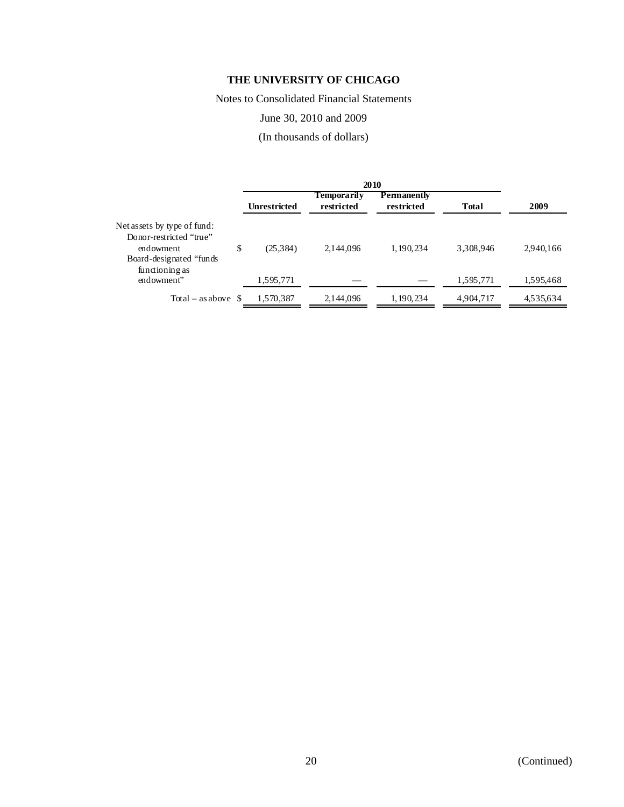Notes to Consolidated Financial Statements

June 30, 2010 and 2009

(In thousands of dollars)

|                                                                                                                   | <b>Unrestricted</b> | <b>Temporarily</b><br>restricted | Permanently<br>restricted | <b>Total</b> | 2009      |
|-------------------------------------------------------------------------------------------------------------------|---------------------|----------------------------------|---------------------------|--------------|-----------|
| Net assets by type of fund:<br>Donor-restricted "true"<br>endowment<br>Board-designated "funds"<br>functioning as | \$<br>(25, 384)     | 2,144,096                        | 1, 190, 234               | 3,308,946    | 2,940,166 |
| endowment"                                                                                                        | 1,595,771           |                                  |                           | 1,595,771    | 1,595,468 |
| Total – as above $\delta$                                                                                         | 1,570,387           | 2,144,096                        | 1, 190, 234               | 4,904,717    | 4,535,634 |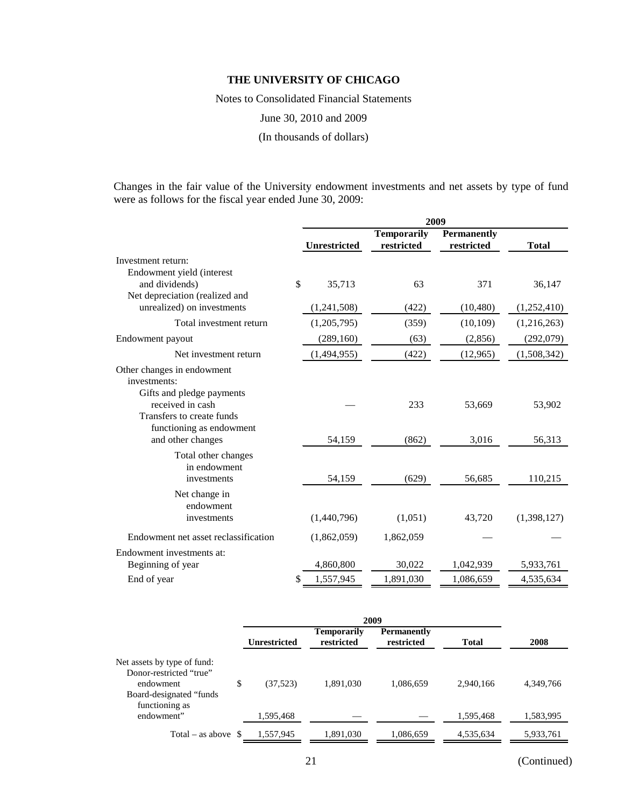Notes to Consolidated Financial Statements

June 30, 2010 and 2009

(In thousands of dollars)

Changes in the fair value of the University endowment investments and net assets by type of fund were as follows for the fiscal year ended June 30, 2009:

|                                                                                                        | 2009 |                     |                                  |                                  |              |
|--------------------------------------------------------------------------------------------------------|------|---------------------|----------------------------------|----------------------------------|--------------|
|                                                                                                        |      | <b>Unrestricted</b> | <b>Temporarily</b><br>restricted | <b>Permanently</b><br>restricted | <b>Total</b> |
| Investment return:                                                                                     |      |                     |                                  |                                  |              |
| Endowment yield (interest                                                                              |      |                     |                                  |                                  |              |
| and dividends)                                                                                         | \$   | 35,713              | 63                               | 371                              | 36,147       |
| Net depreciation (realized and                                                                         |      |                     |                                  |                                  |              |
| unrealized) on investments                                                                             |      | (1,241,508)         | (422)                            | (10, 480)                        | (1,252,410)  |
| Total investment return                                                                                |      | (1,205,795)         | (359)                            | (10, 109)                        | (1,216,263)  |
| Endowment payout                                                                                       |      | (289, 160)          | (63)                             | (2,856)                          | (292,079)    |
| Net investment return                                                                                  |      | (1,494,955)         | (422)                            | (12,965)                         | (1,508,342)  |
| Other changes in endowment<br>investments:                                                             |      |                     |                                  |                                  |              |
| Gifts and pledge payments<br>received in cash<br>Transfers to create funds<br>functioning as endowment |      |                     | 233                              | 53,669                           | 53,902       |
| and other changes                                                                                      |      | 54,159              | (862)                            | 3,016                            | 56,313       |
| Total other changes<br>in endowment<br>investments                                                     |      | 54,159              | (629)                            | 56,685                           | 110,215      |
| Net change in<br>endowment                                                                             |      |                     |                                  |                                  |              |
| investments                                                                                            |      | (1,440,796)         | (1,051)                          | 43,720                           | (1,398,127)  |
| Endowment net asset reclassification                                                                   |      | (1,862,059)         | 1,862,059                        |                                  |              |
| Endowment investments at:                                                                              |      |                     |                                  |                                  |              |
| Beginning of year                                                                                      |      | 4,860,800           | 30,022                           | 1,042,939                        | 5,933,761    |
| End of year                                                                                            | \$   | 1,557,945           | 1,891,030                        | 1,086,659                        | 4,535,634    |

|                                                                                                                   | <b>Unrestricted</b> | Temporarily<br>restricted | <b>Permanently</b><br>restricted | <b>Total</b> | 2008      |
|-------------------------------------------------------------------------------------------------------------------|---------------------|---------------------------|----------------------------------|--------------|-----------|
| Net assets by type of fund:<br>Donor-restricted "true"<br>endowment<br>Board-designated "funds"<br>functioning as | \$<br>(37,523)      | 1,891,030                 | 1,086,659                        | 2,940,166    | 4,349,766 |
| endowment"                                                                                                        | 1,595,468           |                           |                                  | 1,595,468    | 1,583,995 |
| Total – as above $\delta$                                                                                         | 1,557,945           | 1,891,030                 | 1,086,659                        | 4,535,634    | 5,933,761 |

21 (Continued)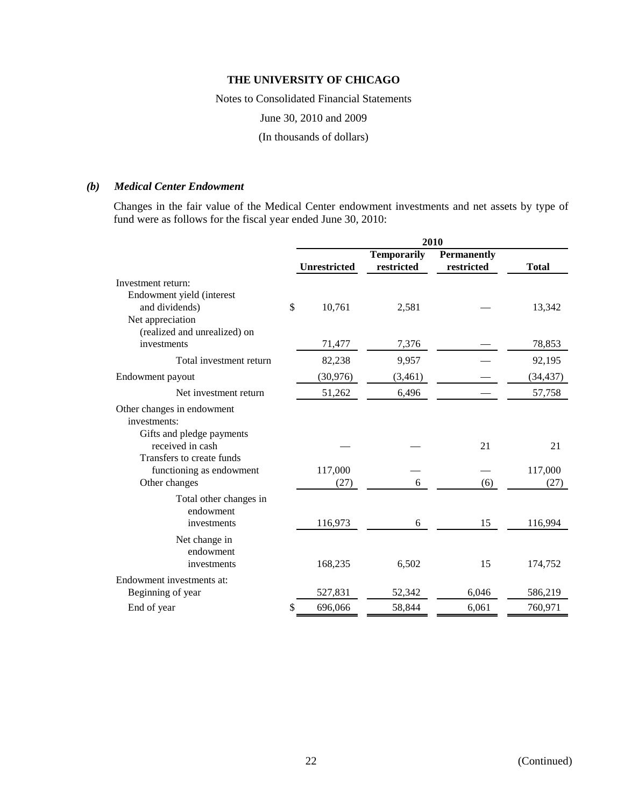Notes to Consolidated Financial Statements

June 30, 2010 and 2009

(In thousands of dollars)

# *(b) Medical Center Endowment*

Changes in the fair value of the Medical Center endowment investments and net assets by type of fund were as follows for the fiscal year ended June 30, 2010:

|                                                                            |    | 2010         |                                  |                                  |              |  |
|----------------------------------------------------------------------------|----|--------------|----------------------------------|----------------------------------|--------------|--|
|                                                                            |    | Unrestricted | <b>Temporarily</b><br>restricted | <b>Permanently</b><br>restricted | <b>Total</b> |  |
| Investment return:                                                         |    |              |                                  |                                  |              |  |
| Endowment yield (interest<br>and dividends)<br>Net appreciation            | \$ | 10,761       | 2,581                            |                                  | 13,342       |  |
| (realized and unrealized) on<br>investments                                |    | 71,477       | 7,376                            |                                  | 78,853       |  |
| Total investment return                                                    |    | 82,238       | 9,957                            |                                  | 92,195       |  |
| Endowment payout                                                           |    | (30, 976)    | (3,461)                          |                                  | (34, 437)    |  |
| Net investment return                                                      |    | 51,262       | 6,496                            |                                  | 57,758       |  |
| Other changes in endowment<br>investments:                                 |    |              |                                  |                                  |              |  |
| Gifts and pledge payments<br>received in cash<br>Transfers to create funds |    |              |                                  | 21                               | 21           |  |
| functioning as endowment                                                   |    | 117,000      |                                  |                                  | 117,000      |  |
| Other changes                                                              |    | (27)         | 6                                | (6)                              | (27)         |  |
| Total other changes in<br>endowment<br>investments                         |    | 116,973      | 6                                | 15                               | 116,994      |  |
| Net change in<br>endowment<br>investments                                  |    | 168,235      | 6,502                            | 15                               | 174,752      |  |
| Endowment investments at:                                                  |    |              |                                  |                                  |              |  |
| Beginning of year                                                          |    | 527,831      | 52,342                           | 6,046                            | 586,219      |  |
| End of year                                                                | S  | 696,066      | 58,844                           | 6,061                            | 760,971      |  |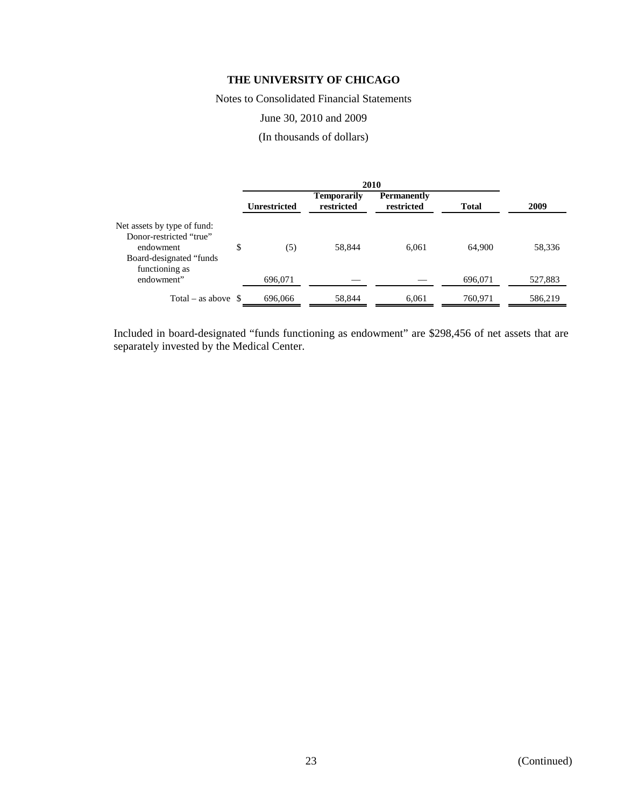Notes to Consolidated Financial Statements

## June 30, 2010 and 2009

(In thousands of dollars)

|                                                                                                                   |    | <b>Unrestricted</b> | <b>Temporarily</b><br>restricted | <b>Permanently</b><br>restricted | <b>Total</b> | 2009    |
|-------------------------------------------------------------------------------------------------------------------|----|---------------------|----------------------------------|----------------------------------|--------------|---------|
| Net assets by type of fund:<br>Donor-restricted "true"<br>endowment<br>Board-designated "funds"<br>functioning as | \$ | (5)                 | 58,844                           | 6,061                            | 64,900       | 58,336  |
| endowment"                                                                                                        |    | 696.071             |                                  |                                  | 696,071      | 527,883 |
| Total – as above $\delta$                                                                                         |    | 696,066             | 58,844                           | 6,061                            | 760,971      | 586,219 |

Included in board-designated "funds functioning as endowment" are \$298,456 of net assets that are separately invested by the Medical Center.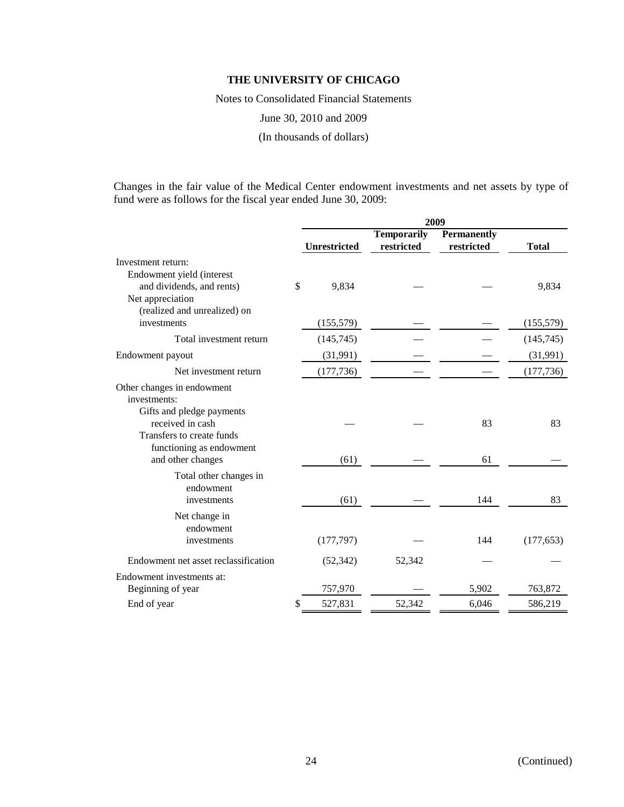Notes to Consolidated Financial Statements

June 30, 2010 and 2009

(In thousands of dollars)

Changes in the fair value of the Medical Center endowment investments and net assets by type of fund were as follows for the fiscal year ended June 30, 2009:

|                                                                           | 2009 |              |                                  |                                  |              |
|---------------------------------------------------------------------------|------|--------------|----------------------------------|----------------------------------|--------------|
|                                                                           |      | Unrestricted | <b>Temporarily</b><br>restricted | <b>Permanently</b><br>restricted | <b>Total</b> |
| Investment return:                                                        |      |              |                                  |                                  |              |
| Endowment yield (interest                                                 |      |              |                                  |                                  |              |
| and dividends, and rents)                                                 | \$   | 9,834        |                                  |                                  | 9,834        |
| Net appreciation<br>(realized and unrealized) on                          |      |              |                                  |                                  |              |
| investments                                                               |      | (155, 579)   |                                  |                                  | (155, 579)   |
| Total investment return                                                   |      | (145, 745)   |                                  |                                  | (145, 745)   |
| Endowment payout                                                          |      | (31,991)     |                                  |                                  | (31,991)     |
| Net investment return                                                     |      | (177, 736)   |                                  |                                  | (177, 736)   |
| Other changes in endowment<br>investments:<br>Gifts and pledge payments   |      |              |                                  |                                  |              |
| received in cash<br>Transfers to create funds<br>functioning as endowment |      |              |                                  | 83                               | 83           |
| and other changes                                                         |      | (61)         |                                  | 61                               |              |
| Total other changes in<br>endowment<br>investments                        |      | (61)         |                                  | 144                              | 83           |
| Net change in<br>endowment<br>investments                                 |      | (177, 797)   |                                  | 144                              | (177, 653)   |
|                                                                           |      |              |                                  |                                  |              |
| Endowment net asset reclassification                                      |      | (52, 342)    | 52,342                           |                                  |              |
| Endowment investments at:                                                 |      |              |                                  |                                  |              |
| Beginning of year                                                         |      | 757,970      |                                  | 5,902                            | 763,872      |
| End of year                                                               | S    | 527,831      | 52,342                           | 6,046                            | 586,219      |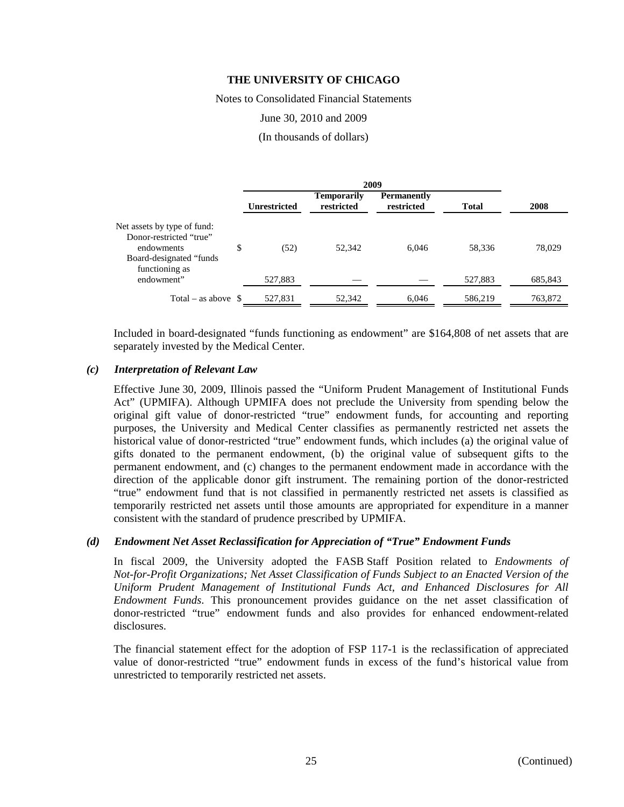Notes to Consolidated Financial Statements

#### June 30, 2010 and 2009

(In thousands of dollars)

|                                                                                                                    |    | <b>Unrestricted</b> | <b>Temporarily</b><br>restricted | <b>Permanently</b><br>restricted | <b>Total</b> | 2008    |  |
|--------------------------------------------------------------------------------------------------------------------|----|---------------------|----------------------------------|----------------------------------|--------------|---------|--|
| Net assets by type of fund:<br>Donor-restricted "true"<br>endowments<br>Board-designated "funds"<br>functioning as | \$ | (52)                | 52,342                           | 6.046                            | 58,336       | 78,029  |  |
| endowment"                                                                                                         |    | 527,883             |                                  |                                  | 527.883      | 685,843 |  |
| Total – as above $\$$                                                                                              |    | 527,831             | 52,342                           | 6,046                            | 586,219      | 763,872 |  |

Included in board-designated "funds functioning as endowment" are \$164,808 of net assets that are separately invested by the Medical Center.

### *(c) Interpretation of Relevant Law*

Effective June 30, 2009, Illinois passed the "Uniform Prudent Management of Institutional Funds Act" (UPMIFA). Although UPMIFA does not preclude the University from spending below the original gift value of donor-restricted "true" endowment funds, for accounting and reporting purposes, the University and Medical Center classifies as permanently restricted net assets the historical value of donor-restricted "true" endowment funds, which includes (a) the original value of gifts donated to the permanent endowment, (b) the original value of subsequent gifts to the permanent endowment, and (c) changes to the permanent endowment made in accordance with the direction of the applicable donor gift instrument. The remaining portion of the donor-restricted "true" endowment fund that is not classified in permanently restricted net assets is classified as temporarily restricted net assets until those amounts are appropriated for expenditure in a manner consistent with the standard of prudence prescribed by UPMIFA.

#### *(d) Endowment Net Asset Reclassification for Appreciation of "True" Endowment Funds*

In fiscal 2009, the University adopted the FASB Staff Position related to *Endowments of Not-for-Profit Organizations; Net Asset Classification of Funds Subject to an Enacted Version of the Uniform Prudent Management of Institutional Funds Act*, *and Enhanced Disclosures for All Endowment Funds*. This pronouncement provides guidance on the net asset classification of donor-restricted "true" endowment funds and also provides for enhanced endowment-related disclosures.

The financial statement effect for the adoption of FSP 117-1 is the reclassification of appreciated value of donor-restricted "true" endowment funds in excess of the fund's historical value from unrestricted to temporarily restricted net assets.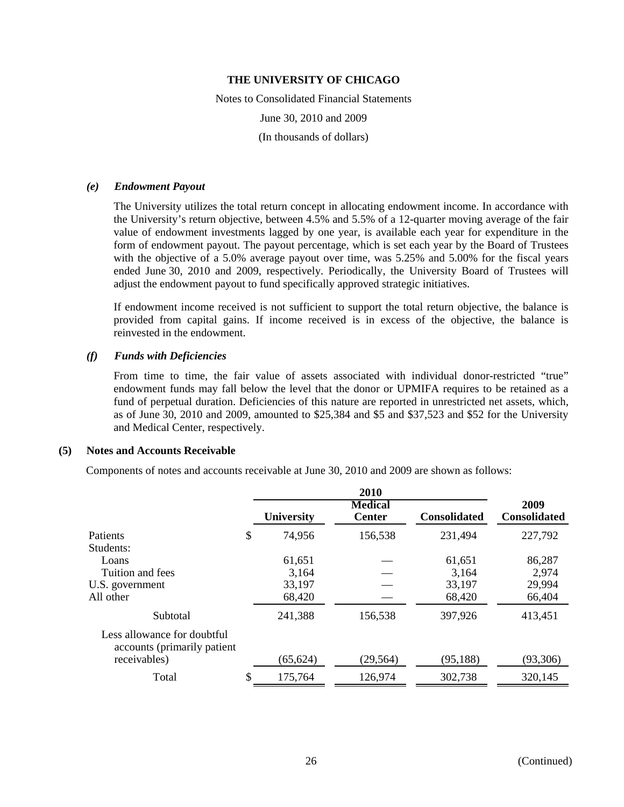Notes to Consolidated Financial Statements June 30, 2010 and 2009 (In thousands of dollars)

#### *(e) Endowment Payout*

The University utilizes the total return concept in allocating endowment income. In accordance with the University's return objective, between 4.5% and 5.5% of a 12-quarter moving average of the fair value of endowment investments lagged by one year, is available each year for expenditure in the form of endowment payout. The payout percentage, which is set each year by the Board of Trustees with the objective of a 5.0% average payout over time, was 5.25% and 5.00% for the fiscal years ended June 30, 2010 and 2009, respectively. Periodically, the University Board of Trustees will adjust the endowment payout to fund specifically approved strategic initiatives.

If endowment income received is not sufficient to support the total return objective, the balance is provided from capital gains. If income received is in excess of the objective, the balance is reinvested in the endowment.

#### *(f) Funds with Deficiencies*

From time to time, the fair value of assets associated with individual donor-restricted "true" endowment funds may fall below the level that the donor or UPMIFA requires to be retained as a fund of perpetual duration. Deficiencies of this nature are reported in unrestricted net assets, which, as of June 30, 2010 and 2009, amounted to \$25,384 and \$5 and \$37,523 and \$52 for the University and Medical Center, respectively.

#### **(5) Notes and Accounts Receivable**

Components of notes and accounts receivable at June 30, 2010 and 2009 are shown as follows:

|                                                             | University    | <b>Medical</b><br><b>Center</b> | <b>Consolidated</b> | 2009<br><b>Consolidated</b> |
|-------------------------------------------------------------|---------------|---------------------------------|---------------------|-----------------------------|
| Patients                                                    | \$<br>74,956  | 156,538                         | 231,494             | 227,792                     |
| Students:                                                   |               |                                 |                     |                             |
| Loans                                                       | 61,651        |                                 | 61,651              | 86,287                      |
| Tuition and fees                                            | 3,164         |                                 | 3,164               | 2,974                       |
| U.S. government                                             | 33,197        |                                 | 33,197              | 29,994                      |
| All other                                                   | 68,420        |                                 | 68,420              | 66,404                      |
| Subtotal                                                    | 241,388       | 156,538                         | 397,926             | 413,451                     |
| Less allowance for doubtful<br>accounts (primarily patient) |               |                                 |                     |                             |
| receivables)                                                | (65, 624)     | (29, 564)                       | (95, 188)           | (93,306)                    |
| Total                                                       | \$<br>175,764 | 126,974                         | 302,738             | 320,145                     |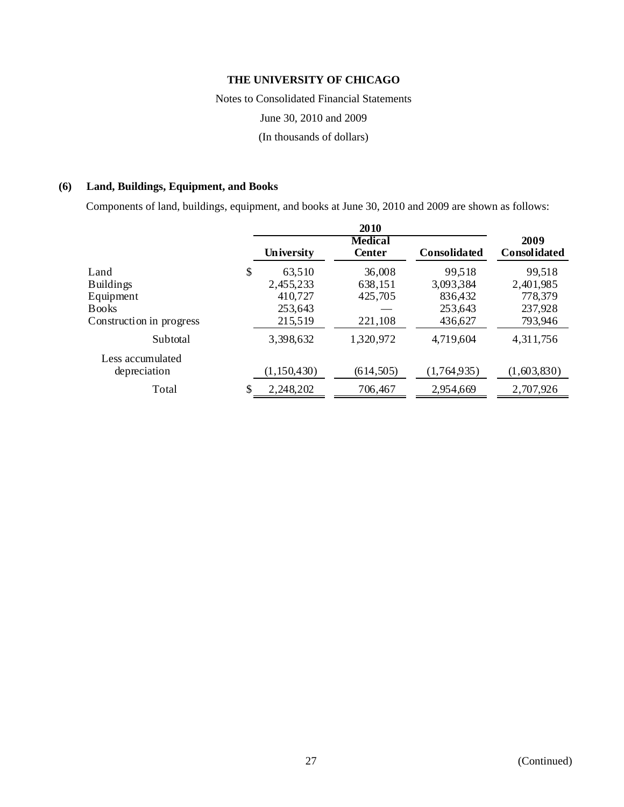Notes to Consolidated Financial Statements

June 30, 2010 and 2009

(In thousands of dollars)

# **(6) Land, Buildings, Equipment, and Books**

Components of land, buildings, equipment, and books at June 30, 2010 and 2009 are shown as follows:

|                          |                 | 2010                            |                     |                      |
|--------------------------|-----------------|---------------------------------|---------------------|----------------------|
|                          | University      | <b>Medical</b><br><b>Center</b> | <b>Consolidated</b> | 2009<br>Consolidated |
| Land                     | \$<br>63,510    | 36,008                          | 99,518              | 99,518               |
| <b>Buildings</b>         | 2,455,233       | 638,151                         | 3,093,384           | 2,401,985            |
| Equipment                | 410,727         | 425,705                         | 836,432             | 778,379              |
| <b>Books</b>             | 253,643         |                                 | 253,643             | 237,928              |
| Construction in progress | 215,519         | 221,108                         | 436,627             | 793,946              |
| Subtotal                 | 3,398,632       | 1,320,972                       | 4,719,604           | 4,311,756            |
| Less accumulated         |                 |                                 |                     |                      |
| depreciation             | (1, 150, 430)   | (614, 505)                      | (1,764,935)         | (1,603,830)          |
| Total                    | \$<br>2,248,202 | 706,467                         | 2,954,669           | 2,707,926            |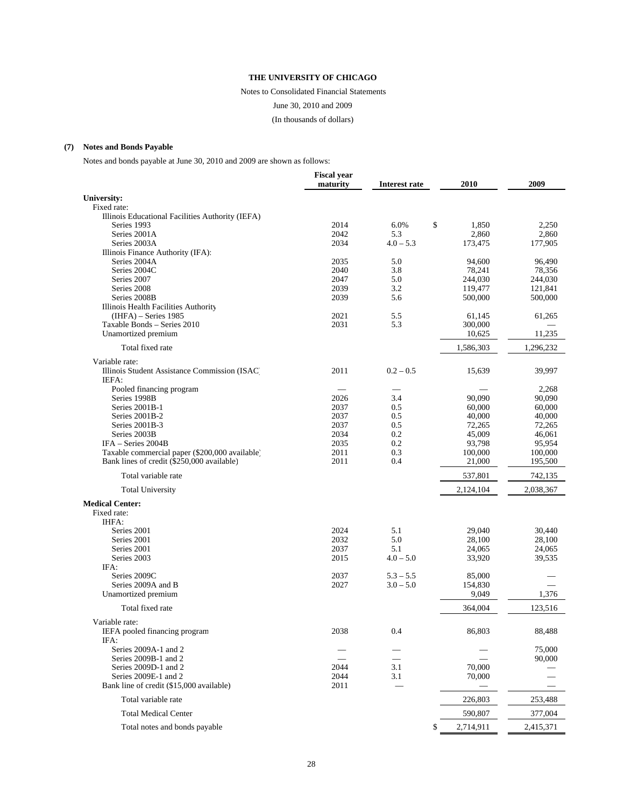Notes to Consolidated Financial Statements

June 30, 2010 and 2009

(In thousands of dollars)

#### **(7) Notes and Bonds Payable**

Notes and bonds payable at June 30, 2010 and 2009 are shown as follows:

|                                                        | <b>Fiscal year</b><br>maturity | Interest rate              | 2010             | 2009      |
|--------------------------------------------------------|--------------------------------|----------------------------|------------------|-----------|
|                                                        |                                |                            |                  |           |
| University:<br>Fixed rate:                             |                                |                            |                  |           |
| Illinois Educational Facilities Authority (IEFA)       |                                |                            |                  |           |
| Series 1993                                            | 2014                           | 6.0%                       | \$<br>1,850      | 2,250     |
| Series 2001A                                           | 2042                           | 5.3                        | 2,860            | 2,860     |
| Series 2003A                                           | 2034                           | $4.0 - 5.3$                | 173,475          | 177,905   |
| Illinois Finance Authority (IFA):                      |                                |                            |                  |           |
| Series 2004A                                           | 2035                           | 5.0                        | 94,600           | 96,490    |
| Series 2004C                                           | 2040                           | 3.8                        | 78,241           | 78,356    |
| Series 2007                                            | 2047                           | 5.0                        | 244,030          | 244,030   |
| Series 2008                                            | 2039                           | 3.2                        | 119,477          | 121,841   |
| Series 2008B                                           | 2039                           | 5.6                        | 500,000          | 500,000   |
| Illinois Health Facilities Authority                   |                                |                            |                  |           |
| $(IHFA)$ – Series 1985                                 | 2021                           | 5.5                        | 61,145           | 61,265    |
| Taxable Bonds - Series 2010                            | 2031                           | 5.3                        | 300,000          |           |
| Unamortized premium                                    |                                |                            | 10,625           | 11,235    |
| Total fixed rate                                       |                                |                            | 1,586,303        | 1,296,232 |
| Variable rate:                                         |                                |                            |                  |           |
| Illinois Student Assistance Commission (ISAC)<br>IEFA: | 2011                           | $0.2 - 0.5$                | 15,639           | 39,997    |
| Pooled financing program                               |                                |                            |                  | 2,268     |
| Series 1998B                                           | 2026                           | 3.4                        | 90,090           | 90,090    |
| Series 2001B-1                                         | 2037                           | 0.5                        | 60,000           | 60,000    |
| Series 2001B-2                                         | 2037                           | 0.5                        | 40,000           | 40,000    |
| Series 2001B-3                                         | 2037                           | 0.5                        | 72,265           | 72,265    |
| Series 2003B                                           | 2034                           | 0.2                        | 45,009           | 46,061    |
| IFA - Series 2004B                                     | 2035                           | 0.2                        | 93,798           | 95,954    |
| Taxable commercial paper (\$200,000 available)         | 2011                           | 0.3                        | 100,000          | 100,000   |
| Bank lines of credit (\$250,000 available)             | 2011                           | 0.4                        | 21,000           | 195,500   |
| Total variable rate                                    |                                |                            | 537,801          | 742,135   |
| <b>Total University</b>                                |                                |                            | 2,124,104        | 2,038,367 |
| <b>Medical Center:</b>                                 |                                |                            |                  |           |
| Fixed rate:                                            |                                |                            |                  |           |
| IHFA:                                                  |                                |                            |                  |           |
| Series 2001                                            | 2024                           | 5.1                        | 29,040           | 30,440    |
| Series 2001                                            | 2032                           | 5.0                        | 28,100           | 28,100    |
| Series 2001                                            | 2037                           | 5.1                        | 24,065           | 24,065    |
| Series 2003                                            | 2015                           | $4.0 - 5.0$                | 33,920           | 39,535    |
| IFA:                                                   |                                |                            |                  |           |
| Series 2009C                                           | 2037                           | $5.3 - 5.5$<br>$3.0 - 5.0$ | 85,000           |           |
| Series 2009A and B<br>Unamortized premium              | 2027                           |                            | 154,830<br>9,049 | 1,376     |
| Total fixed rate                                       |                                |                            | 364,004          | 123,516   |
|                                                        |                                |                            |                  |           |
| Variable rate:                                         |                                |                            |                  |           |
| IEFA pooled financing program                          | 2038                           | 0.4                        | 86,803           | 88,488    |
| IFA:<br>Series 2009A-1 and 2                           |                                |                            |                  | 75,000    |
| Series 2009B-1 and 2                                   |                                |                            |                  | 90,000    |
| Series 2009D-1 and 2                                   | 2044                           | 3.1                        | 70,000           |           |
| Series 2009E-1 and 2                                   | 2044                           | 3.1                        | 70,000           |           |
| Bank line of credit (\$15,000 available)               | 2011                           |                            |                  |           |
| Total variable rate                                    |                                |                            | 226,803          | 253,488   |
| <b>Total Medical Center</b>                            |                                |                            | 590,807          | 377,004   |
| Total notes and bonds payable                          |                                |                            | \$<br>2,714,911  | 2,415,371 |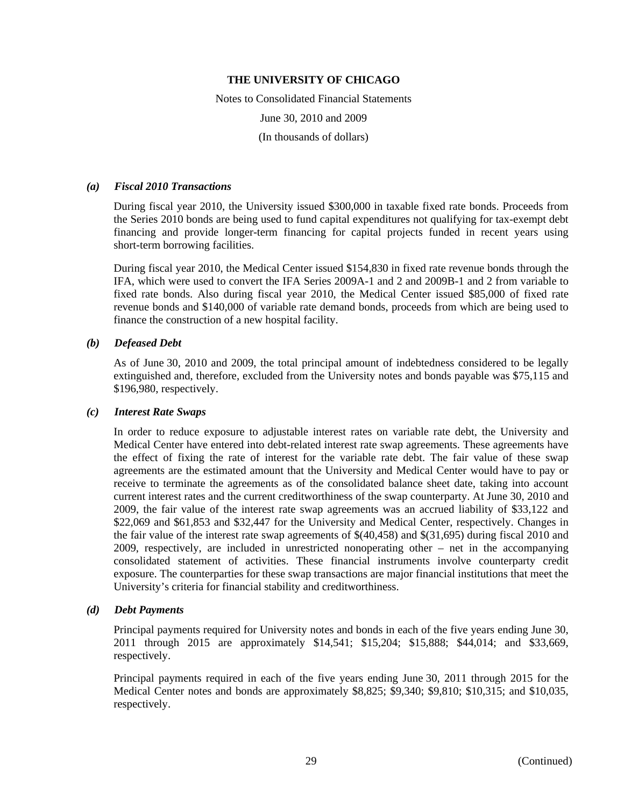Notes to Consolidated Financial Statements June 30, 2010 and 2009 (In thousands of dollars)

#### *(a) Fiscal 2010 Transactions*

During fiscal year 2010, the University issued \$300,000 in taxable fixed rate bonds. Proceeds from the Series 2010 bonds are being used to fund capital expenditures not qualifying for tax-exempt debt financing and provide longer-term financing for capital projects funded in recent years using short-term borrowing facilities.

During fiscal year 2010, the Medical Center issued \$154,830 in fixed rate revenue bonds through the IFA, which were used to convert the IFA Series 2009A-1 and 2 and 2009B-1 and 2 from variable to fixed rate bonds. Also during fiscal year 2010, the Medical Center issued \$85,000 of fixed rate revenue bonds and \$140,000 of variable rate demand bonds, proceeds from which are being used to finance the construction of a new hospital facility.

### *(b) Defeased Debt*

As of June 30, 2010 and 2009, the total principal amount of indebtedness considered to be legally extinguished and, therefore, excluded from the University notes and bonds payable was \$75,115 and \$196,980, respectively.

#### *(c) Interest Rate Swaps*

In order to reduce exposure to adjustable interest rates on variable rate debt, the University and Medical Center have entered into debt-related interest rate swap agreements. These agreements have the effect of fixing the rate of interest for the variable rate debt. The fair value of these swap agreements are the estimated amount that the University and Medical Center would have to pay or receive to terminate the agreements as of the consolidated balance sheet date, taking into account current interest rates and the current creditworthiness of the swap counterparty. At June 30, 2010 and 2009, the fair value of the interest rate swap agreements was an accrued liability of \$33,122 and \$22,069 and \$61,853 and \$32,447 for the University and Medical Center, respectively. Changes in the fair value of the interest rate swap agreements of \$(40,458) and \$(31,695) during fiscal 2010 and 2009, respectively, are included in unrestricted nonoperating other – net in the accompanying consolidated statement of activities. These financial instruments involve counterparty credit exposure. The counterparties for these swap transactions are major financial institutions that meet the University's criteria for financial stability and creditworthiness.

#### *(d) Debt Payments*

Principal payments required for University notes and bonds in each of the five years ending June 30, 2011 through 2015 are approximately \$14,541; \$15,204; \$15,888; \$44,014; and \$33,669, respectively.

Principal payments required in each of the five years ending June 30, 2011 through 2015 for the Medical Center notes and bonds are approximately \$8,825; \$9,340; \$9,810; \$10,315; and \$10,035, respectively.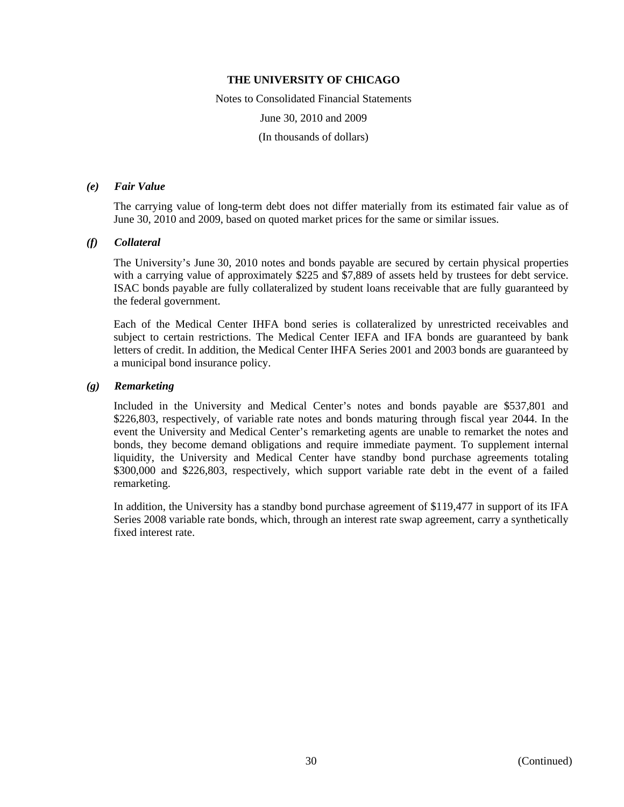Notes to Consolidated Financial Statements June 30, 2010 and 2009 (In thousands of dollars)

## *(e) Fair Value*

The carrying value of long-term debt does not differ materially from its estimated fair value as of June 30, 2010 and 2009, based on quoted market prices for the same or similar issues.

#### *(f) Collateral*

The University's June 30, 2010 notes and bonds payable are secured by certain physical properties with a carrying value of approximately \$225 and \$7,889 of assets held by trustees for debt service. ISAC bonds payable are fully collateralized by student loans receivable that are fully guaranteed by the federal government.

Each of the Medical Center IHFA bond series is collateralized by unrestricted receivables and subject to certain restrictions. The Medical Center IEFA and IFA bonds are guaranteed by bank letters of credit. In addition, the Medical Center IHFA Series 2001 and 2003 bonds are guaranteed by a municipal bond insurance policy.

#### *(g) Remarketing*

Included in the University and Medical Center's notes and bonds payable are \$537,801 and \$226,803, respectively, of variable rate notes and bonds maturing through fiscal year 2044. In the event the University and Medical Center's remarketing agents are unable to remarket the notes and bonds, they become demand obligations and require immediate payment. To supplement internal liquidity, the University and Medical Center have standby bond purchase agreements totaling \$300,000 and \$226,803, respectively, which support variable rate debt in the event of a failed remarketing.

In addition, the University has a standby bond purchase agreement of \$119,477 in support of its IFA Series 2008 variable rate bonds, which, through an interest rate swap agreement, carry a synthetically fixed interest rate.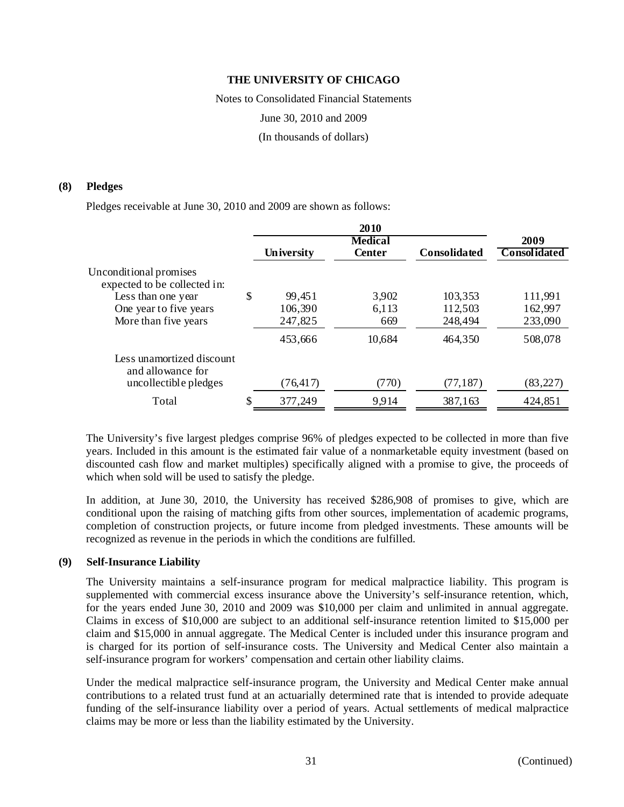Notes to Consolidated Financial Statements June 30, 2010 and 2009 (In thousands of dollars)

#### **(8) Pledges**

Pledges receivable at June 30, 2010 and 2009 are shown as follows:

|                                                        |               | 2010           |                     |                     |
|--------------------------------------------------------|---------------|----------------|---------------------|---------------------|
|                                                        |               | <b>Medical</b> |                     | 2009                |
|                                                        | University    | <b>Center</b>  | <b>Consolidated</b> | <b>Consolidated</b> |
| Unconditional promises<br>expected to be collected in: |               |                |                     |                     |
| Less than one year                                     | \$<br>99,451  | 3,902          | 103,353             | 111,991             |
| One year to five years                                 | 106,390       | 6,113          | 112,503             | 162,997             |
| More than five years                                   | 247,825       | 669            | 248,494             | 233,090             |
|                                                        | 453,666       | 10,684         | 464,350             | 508,078             |
| Less unamortized discount<br>and allowance for         |               |                |                     |                     |
| uncollectible pledges                                  | (76, 417)     | (770)          | (77, 187)           | (83, 227)           |
| Total                                                  | \$<br>377,249 | 9,914          | 387,163             | 424,851             |

The University's five largest pledges comprise 96% of pledges expected to be collected in more than five years. Included in this amount is the estimated fair value of a nonmarketable equity investment (based on discounted cash flow and market multiples) specifically aligned with a promise to give, the proceeds of which when sold will be used to satisfy the pledge.

In addition, at June 30, 2010, the University has received \$286,908 of promises to give, which are conditional upon the raising of matching gifts from other sources, implementation of academic programs, completion of construction projects, or future income from pledged investments. These amounts will be recognized as revenue in the periods in which the conditions are fulfilled.

#### **(9) Self-Insurance Liability**

The University maintains a self-insurance program for medical malpractice liability. This program is supplemented with commercial excess insurance above the University's self-insurance retention, which, for the years ended June 30, 2010 and 2009 was \$10,000 per claim and unlimited in annual aggregate. Claims in excess of \$10,000 are subject to an additional self-insurance retention limited to \$15,000 per claim and \$15,000 in annual aggregate. The Medical Center is included under this insurance program and is charged for its portion of self-insurance costs. The University and Medical Center also maintain a self-insurance program for workers' compensation and certain other liability claims.

Under the medical malpractice self-insurance program, the University and Medical Center make annual contributions to a related trust fund at an actuarially determined rate that is intended to provide adequate funding of the self-insurance liability over a period of years. Actual settlements of medical malpractice claims may be more or less than the liability estimated by the University.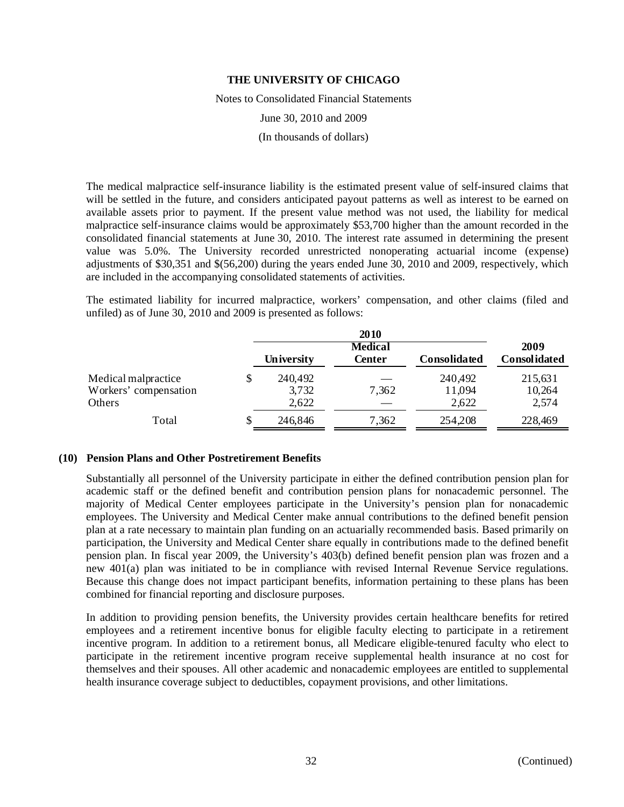Notes to Consolidated Financial Statements

June 30, 2010 and 2009

(In thousands of dollars)

The medical malpractice self-insurance liability is the estimated present value of self-insured claims that will be settled in the future, and considers anticipated payout patterns as well as interest to be earned on available assets prior to payment. If the present value method was not used, the liability for medical malpractice self-insurance claims would be approximately \$53,700 higher than the amount recorded in the consolidated financial statements at June 30, 2010. The interest rate assumed in determining the present value was 5.0%. The University recorded unrestricted nonoperating actuarial income (expense) adjustments of \$30,351 and \$(56,200) during the years ended June 30, 2010 and 2009, respectively, which are included in the accompanying consolidated statements of activities.

The estimated liability for incurred malpractice, workers' compensation, and other claims (filed and unfiled) as of June 30, 2010 and 2009 is presented as follows:

|                                                        |   |                           | <b>2010</b>                     |                            |                            |
|--------------------------------------------------------|---|---------------------------|---------------------------------|----------------------------|----------------------------|
|                                                        |   | University                | <b>Medical</b><br><b>Center</b> | <b>Consolidated</b>        | 2009<br>Consolidated       |
| Medical malpractice<br>Workers' compensation<br>Others |   | 240,492<br>3,732<br>2,622 | 7,362                           | 240,492<br>11,094<br>2,622 | 215,631<br>10,264<br>2,574 |
| Total                                                  | S | 246,846                   | 7,362                           | 254,208                    | 228,469                    |

#### **(10) Pension Plans and Other Postretirement Benefits**

Substantially all personnel of the University participate in either the defined contribution pension plan for academic staff or the defined benefit and contribution pension plans for nonacademic personnel. The majority of Medical Center employees participate in the University's pension plan for nonacademic employees. The University and Medical Center make annual contributions to the defined benefit pension plan at a rate necessary to maintain plan funding on an actuarially recommended basis. Based primarily on participation, the University and Medical Center share equally in contributions made to the defined benefit pension plan. In fiscal year 2009, the University's 403(b) defined benefit pension plan was frozen and a new 401(a) plan was initiated to be in compliance with revised Internal Revenue Service regulations. Because this change does not impact participant benefits, information pertaining to these plans has been combined for financial reporting and disclosure purposes.

In addition to providing pension benefits, the University provides certain healthcare benefits for retired employees and a retirement incentive bonus for eligible faculty electing to participate in a retirement incentive program. In addition to a retirement bonus, all Medicare eligible-tenured faculty who elect to participate in the retirement incentive program receive supplemental health insurance at no cost for themselves and their spouses. All other academic and nonacademic employees are entitled to supplemental health insurance coverage subject to deductibles, copayment provisions, and other limitations.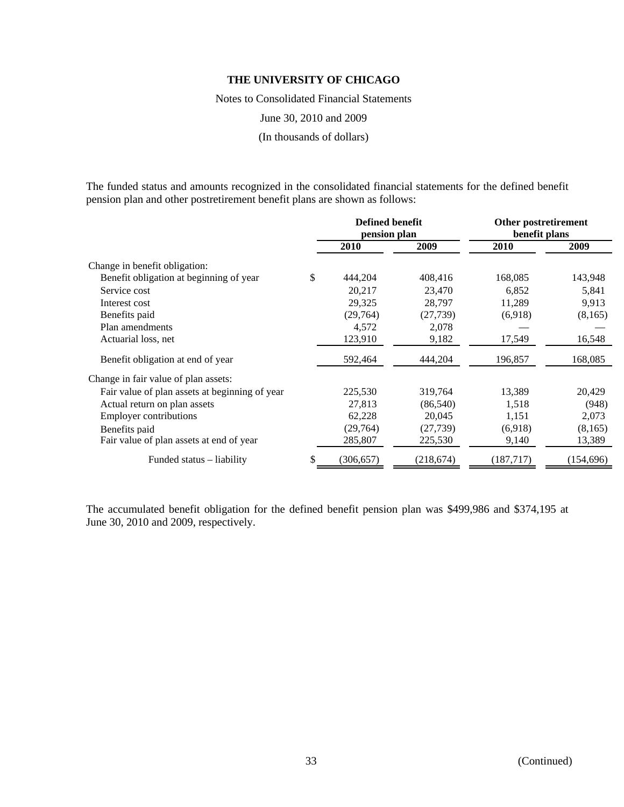Notes to Consolidated Financial Statements

June 30, 2010 and 2009

(In thousands of dollars)

The funded status and amounts recognized in the consolidated financial statements for the defined benefit pension plan and other postretirement benefit plans are shown as follows:

|                                                | <b>Defined benefit</b><br>pension plan |            |            | Other postretirement<br>benefit plans |            |  |
|------------------------------------------------|----------------------------------------|------------|------------|---------------------------------------|------------|--|
|                                                |                                        |            |            |                                       |            |  |
|                                                |                                        | 2010       | 2009       | 2010                                  | 2009       |  |
| Change in benefit obligation:                  |                                        |            |            |                                       |            |  |
| Benefit obligation at beginning of year        | \$                                     | 444,204    | 408,416    | 168,085                               | 143,948    |  |
| Service cost                                   |                                        | 20,217     | 23,470     | 6,852                                 | 5,841      |  |
| Interest cost                                  |                                        | 29,325     | 28,797     | 11,289                                | 9,913      |  |
| Benefits paid                                  |                                        | (29, 764)  | (27, 739)  | (6,918)                               | (8,165)    |  |
| Plan amendments                                |                                        | 4,572      | 2,078      |                                       |            |  |
| Actuarial loss, net                            |                                        | 123,910    | 9,182      | 17,549                                | 16,548     |  |
| Benefit obligation at end of year              |                                        | 592,464    | 444,204    | 196,857                               | 168,085    |  |
| Change in fair value of plan assets:           |                                        |            |            |                                       |            |  |
| Fair value of plan assets at beginning of year |                                        | 225,530    | 319,764    | 13,389                                | 20,429     |  |
| Actual return on plan assets                   |                                        | 27,813     | (86, 540)  | 1,518                                 | (948)      |  |
| <b>Employer contributions</b>                  |                                        | 62,228     | 20,045     | 1,151                                 | 2,073      |  |
| Benefits paid                                  |                                        | (29,764)   | (27, 739)  | (6.918)                               | (8,165)    |  |
| Fair value of plan assets at end of year       |                                        | 285,807    | 225,530    | 9,140                                 | 13,389     |  |
| Funded status – liability                      | S                                      | (306, 657) | (218, 674) | (187, 717)                            | (154, 696) |  |

The accumulated benefit obligation for the defined benefit pension plan was \$499,986 and \$374,195 at June 30, 2010 and 2009, respectively.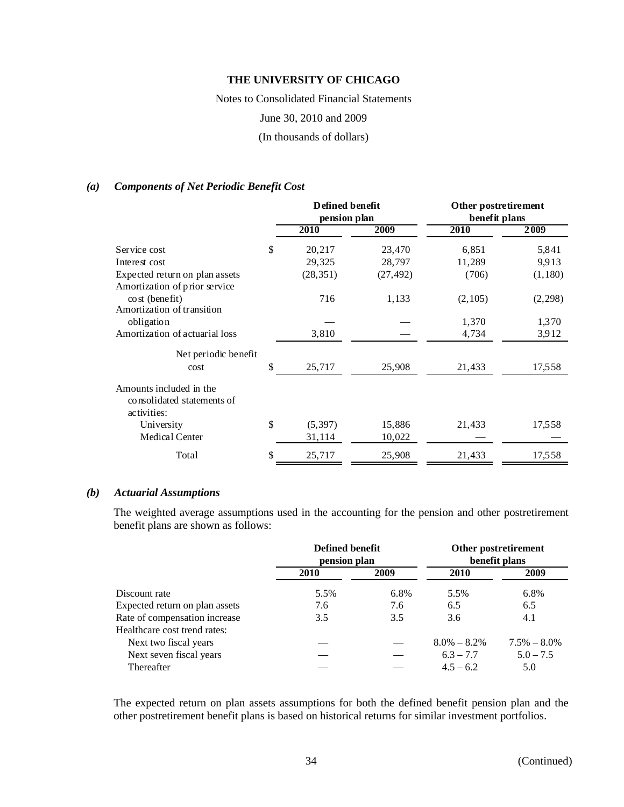Notes to Consolidated Financial Statements

June 30, 2010 and 2009

(In thousands of dollars)

## *(a) Components of Net Periodic Benefit Cost*

|                                                                      | Defined benefit<br>pension plan |           | Other postretirement<br>benefit plans |         |  |
|----------------------------------------------------------------------|---------------------------------|-----------|---------------------------------------|---------|--|
|                                                                      | 2010                            | 2009      | 2010                                  | 2009    |  |
| Service cost                                                         | \$<br>20,217                    | 23,470    | 6,851                                 | 5,841   |  |
| Interest cost                                                        | 29,325                          | 28,797    | 11,289                                | 9,913   |  |
| Expected return on plan assets                                       | (28, 351)                       | (27, 492) | (706)                                 | (1,180) |  |
| Amortization of prior service<br>$\cos(\theta)$                      | 716                             | 1,133     | (2,105)                               | (2,298) |  |
| Amortization of transition<br>obligation                             |                                 |           | 1,370                                 | 1,370   |  |
| Amortization of actuarial loss                                       | 3,810                           |           | 4,734                                 | 3,912   |  |
| Net periodic benefit                                                 |                                 |           |                                       |         |  |
| cost                                                                 | \$<br>25,717                    | 25,908    | 21,433                                | 17,558  |  |
| Amounts included in the<br>consolidated statements of<br>activities: |                                 |           |                                       |         |  |
| University                                                           | \$<br>(5, 397)                  | 15,886    | 21,433                                | 17,558  |  |
| Medical Center                                                       | 31,114                          | 10,022    |                                       |         |  |
| Total                                                                | \$<br>25,717                    | 25,908    | 21,433                                | 17,558  |  |

### *(b) Actuarial Assumptions*

The weighted average assumptions used in the accounting for the pension and other postretirement benefit plans are shown as follows:

|                                | Defined benefit<br>pension plan |      | Other postretirement<br>benefit plans |                 |  |
|--------------------------------|---------------------------------|------|---------------------------------------|-----------------|--|
|                                | 2010                            | 2009 | 2010                                  | 2009            |  |
| Discount rate                  | 5.5%                            | 6.8% | 5.5%                                  | 6.8%            |  |
| Expected return on plan assets | 7.6                             | 7.6  | 6.5                                   | 6.5             |  |
| Rate of compensation increase  | 3.5                             | 3.5  | 3.6                                   | 4.1             |  |
| Healthcare cost trend rates:   |                                 |      |                                       |                 |  |
| Next two fiscal years          |                                 |      | $8.0\% - 8.2\%$                       | $7.5\% - 8.0\%$ |  |
| Next seven fiscal years        |                                 |      | $6.3 - 7.7$                           | $5.0 - 7.5$     |  |
| Thereafter                     |                                 |      | $4.5 - 6.2$                           | 5.0             |  |

The expected return on plan assets assumptions for both the defined benefit pension plan and the other postretirement benefit plans is based on historical returns for similar investment portfolios.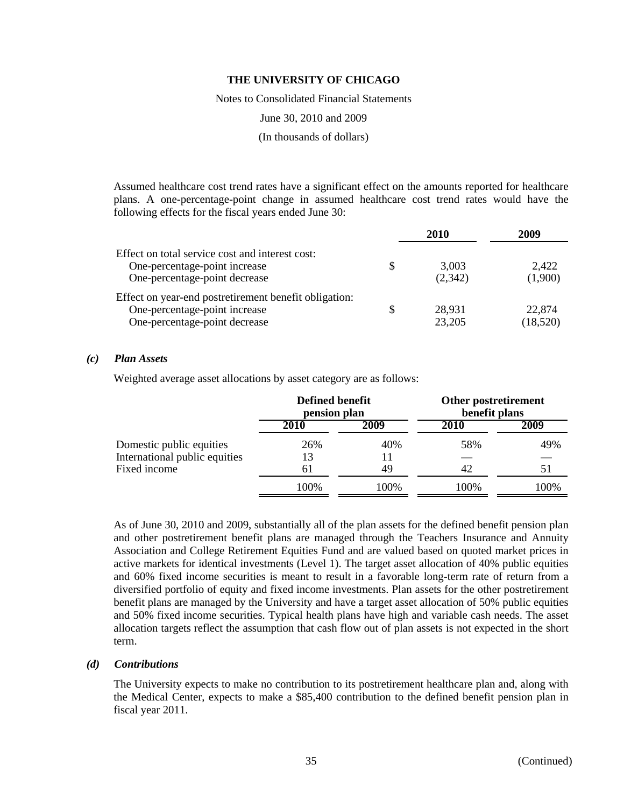Notes to Consolidated Financial Statements

June 30, 2010 and 2009

(In thousands of dollars)

Assumed healthcare cost trend rates have a significant effect on the amounts reported for healthcare plans. A one-percentage-point change in assumed healthcare cost trend rates would have the following effects for the fiscal years ended June 30:

|                                                                                                                         |    | 2010             | 2009               |
|-------------------------------------------------------------------------------------------------------------------------|----|------------------|--------------------|
| Effect on total service cost and interest cost:<br>One-percentage-point increase<br>One-percentage-point decrease       | S  | 3.003<br>(2,342) | 2,422<br>(1,900)   |
| Effect on year-end postretirement benefit obligation:<br>One-percentage-point increase<br>One-percentage-point decrease | \$ | 28,931<br>23,205 | 22,874<br>(18,520) |

#### *(c) Plan Assets*

Weighted average asset allocations by asset category are as follows:

|                               | <b>Defined benefit</b><br>pension plan |      | Other postretirement<br>benefit plans |      |  |
|-------------------------------|----------------------------------------|------|---------------------------------------|------|--|
|                               | 2010                                   | 2009 | 2010                                  | 2009 |  |
| Domestic public equities      | 26%                                    | 40%  | 58%                                   | 49%  |  |
| International public equities | 13                                     | 11   |                                       |      |  |
| Fixed income                  | 61                                     | 49   | 42                                    |      |  |
|                               | 100%                                   | 100% | 100%                                  | 100% |  |

As of June 30, 2010 and 2009, substantially all of the plan assets for the defined benefit pension plan and other postretirement benefit plans are managed through the Teachers Insurance and Annuity Association and College Retirement Equities Fund and are valued based on quoted market prices in active markets for identical investments (Level 1). The target asset allocation of 40% public equities and 60% fixed income securities is meant to result in a favorable long-term rate of return from a diversified portfolio of equity and fixed income investments. Plan assets for the other postretirement benefit plans are managed by the University and have a target asset allocation of 50% public equities and 50% fixed income securities. Typical health plans have high and variable cash needs. The asset allocation targets reflect the assumption that cash flow out of plan assets is not expected in the short term.

#### *(d) Contributions*

The University expects to make no contribution to its postretirement healthcare plan and, along with the Medical Center, expects to make a \$85,400 contribution to the defined benefit pension plan in fiscal year 2011.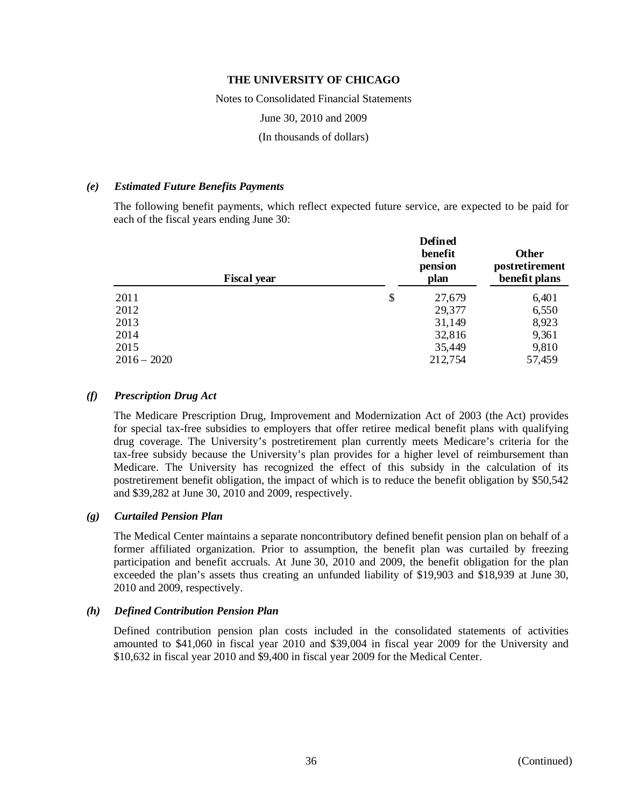Notes to Consolidated Financial Statements

June 30, 2010 and 2009

(In thousands of dollars)

#### *(e) Estimated Future Benefits Payments*

The following benefit payments, which reflect expected future service, are expected to be paid for each of the fiscal years ending June 30:

| <b>Fiscal year</b> |                           | <b>Defined</b><br>benefit<br>pension<br>plan | <b>Other</b><br>postretirement<br>benefit plans |  |
|--------------------|---------------------------|----------------------------------------------|-------------------------------------------------|--|
| 2011               | $\boldsymbol{\mathsf{S}}$ | 27,679                                       | 6,401                                           |  |
| 2012               |                           | 29,377                                       | 6,550                                           |  |
| 2013               |                           | 31,149                                       | 8,923                                           |  |
| 2014               |                           | 32,816                                       | 9,361                                           |  |
| 2015               |                           | 35,449                                       | 9,810                                           |  |
| $2016 - 2020$      |                           | 212,754                                      | 57,459                                          |  |

### *(f) Prescription Drug Act*

The Medicare Prescription Drug, Improvement and Modernization Act of 2003 (the Act) provides for special tax-free subsidies to employers that offer retiree medical benefit plans with qualifying drug coverage. The University's postretirement plan currently meets Medicare's criteria for the tax-free subsidy because the University's plan provides for a higher level of reimbursement than Medicare. The University has recognized the effect of this subsidy in the calculation of its postretirement benefit obligation, the impact of which is to reduce the benefit obligation by \$50,542 and \$39,282 at June 30, 2010 and 2009, respectively.

## *(g) Curtailed Pension Plan*

The Medical Center maintains a separate noncontributory defined benefit pension plan on behalf of a former affiliated organization. Prior to assumption, the benefit plan was curtailed by freezing participation and benefit accruals. At June 30, 2010 and 2009, the benefit obligation for the plan exceeded the plan's assets thus creating an unfunded liability of \$19,903 and \$18,939 at June 30, 2010 and 2009, respectively.

## *(h) Defined Contribution Pension Plan*

Defined contribution pension plan costs included in the consolidated statements of activities amounted to \$41,060 in fiscal year 2010 and \$39,004 in fiscal year 2009 for the University and \$10,632 in fiscal year 2010 and \$9,400 in fiscal year 2009 for the Medical Center.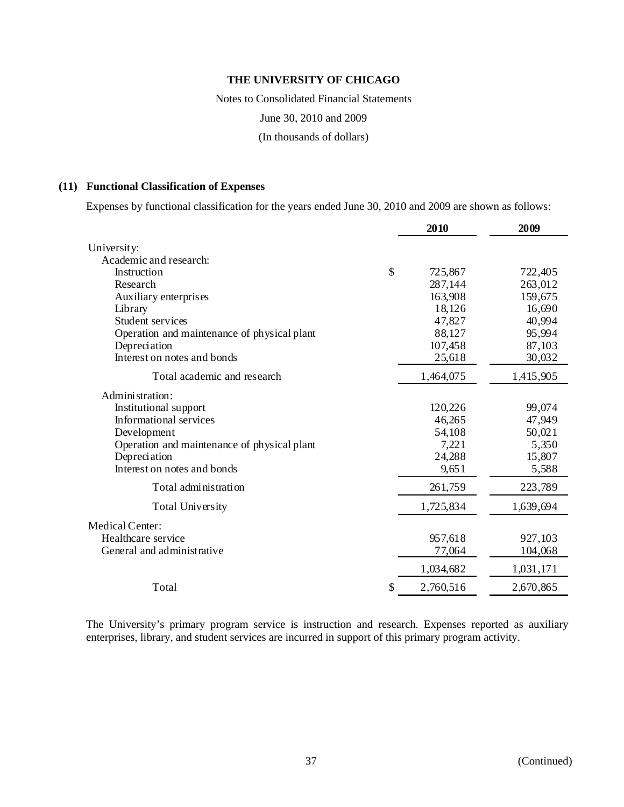Notes to Consolidated Financial Statements

June 30, 2010 and 2009

(In thousands of dollars)

### **(11) Functional Classification of Expenses**

Expenses by functional classification for the years ended June 30, 2010 and 2009 are shown as follows:

| University:<br>Academic and research:<br>\$<br>Instruction<br>725,867<br>Research<br>287,144 | 722,405<br>263,012<br>159,675<br>16,690 |
|----------------------------------------------------------------------------------------------|-----------------------------------------|
|                                                                                              |                                         |
|                                                                                              |                                         |
|                                                                                              |                                         |
|                                                                                              |                                         |
| 163,908<br>Auxiliary enterprises                                                             |                                         |
| 18,126<br>Library                                                                            |                                         |
| 47,827<br>Student services                                                                   | 40,994                                  |
| Operation and maintenance of physical plant<br>88,127                                        | 95,994                                  |
| 107,458<br>Depreciation                                                                      | 87,103                                  |
| Interest on notes and bonds<br>25,618                                                        | 30,032                                  |
| Total academic and research<br>1,464,075                                                     | 1,415,905                               |
| Administration:                                                                              |                                         |
| Institutional support<br>120,226                                                             | 99,074                                  |
| Informational services<br>46,265                                                             | 47,949                                  |
| Development<br>54,108                                                                        | 50,021                                  |
| Operation and maintenance of physical plant<br>7,221                                         | 5,350                                   |
| 24,288<br>Depreciation                                                                       | 15,807                                  |
| Interest on notes and bonds<br>9,651                                                         | 5,588                                   |
| 261,759<br>Total administration                                                              | 223,789                                 |
| 1,725,834<br><b>Total University</b>                                                         | 1,639,694                               |
| <b>Medical Center:</b>                                                                       |                                         |
| Healthcare service<br>957,618                                                                | 927,103                                 |
| General and administrative<br>77,064                                                         | 104,068                                 |
| 1,034,682<br>1,031,171                                                                       |                                         |
| Total<br>2,760,516<br>S                                                                      | 2,670,865                               |

The University's primary program service is instruction and research. Expenses reported as auxiliary enterprises, library, and student services are incurred in support of this primary program activity.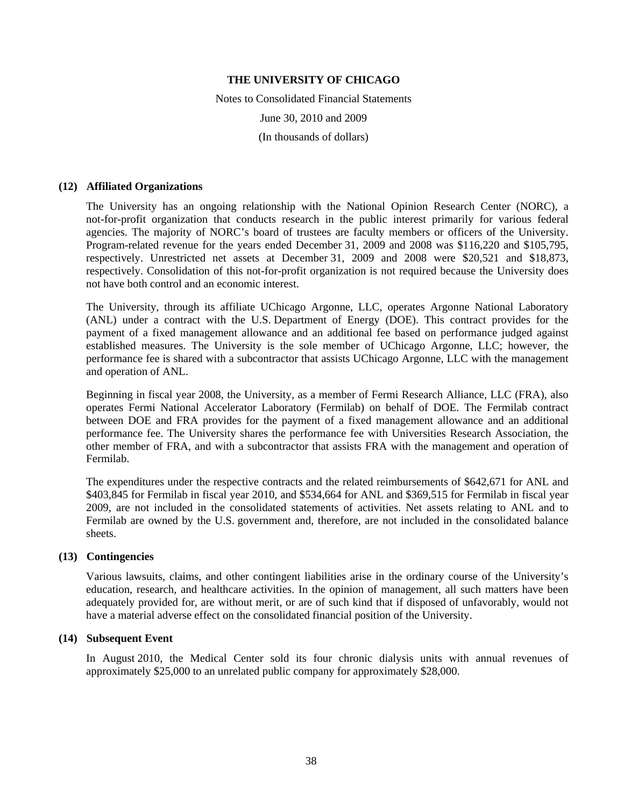Notes to Consolidated Financial Statements June 30, 2010 and 2009 (In thousands of dollars)

#### **(12) Affiliated Organizations**

The University has an ongoing relationship with the National Opinion Research Center (NORC), a not-for-profit organization that conducts research in the public interest primarily for various federal agencies. The majority of NORC's board of trustees are faculty members or officers of the University. Program-related revenue for the years ended December 31, 2009 and 2008 was \$116,220 and \$105,795, respectively. Unrestricted net assets at December 31, 2009 and 2008 were \$20,521 and \$18,873, respectively. Consolidation of this not-for-profit organization is not required because the University does not have both control and an economic interest.

The University, through its affiliate UChicago Argonne, LLC, operates Argonne National Laboratory (ANL) under a contract with the U.S. Department of Energy (DOE). This contract provides for the payment of a fixed management allowance and an additional fee based on performance judged against established measures. The University is the sole member of UChicago Argonne, LLC; however, the performance fee is shared with a subcontractor that assists UChicago Argonne, LLC with the management and operation of ANL.

Beginning in fiscal year 2008, the University, as a member of Fermi Research Alliance, LLC (FRA), also operates Fermi National Accelerator Laboratory (Fermilab) on behalf of DOE. The Fermilab contract between DOE and FRA provides for the payment of a fixed management allowance and an additional performance fee. The University shares the performance fee with Universities Research Association, the other member of FRA, and with a subcontractor that assists FRA with the management and operation of Fermilab.

The expenditures under the respective contracts and the related reimbursements of \$642,671 for ANL and \$403,845 for Fermilab in fiscal year 2010, and \$534,664 for ANL and \$369,515 for Fermilab in fiscal year 2009, are not included in the consolidated statements of activities. Net assets relating to ANL and to Fermilab are owned by the U.S. government and, therefore, are not included in the consolidated balance sheets.

#### **(13) Contingencies**

Various lawsuits, claims, and other contingent liabilities arise in the ordinary course of the University's education, research, and healthcare activities. In the opinion of management, all such matters have been adequately provided for, are without merit, or are of such kind that if disposed of unfavorably, would not have a material adverse effect on the consolidated financial position of the University.

#### **(14) Subsequent Event**

In August 2010, the Medical Center sold its four chronic dialysis units with annual revenues of approximately \$25,000 to an unrelated public company for approximately \$28,000.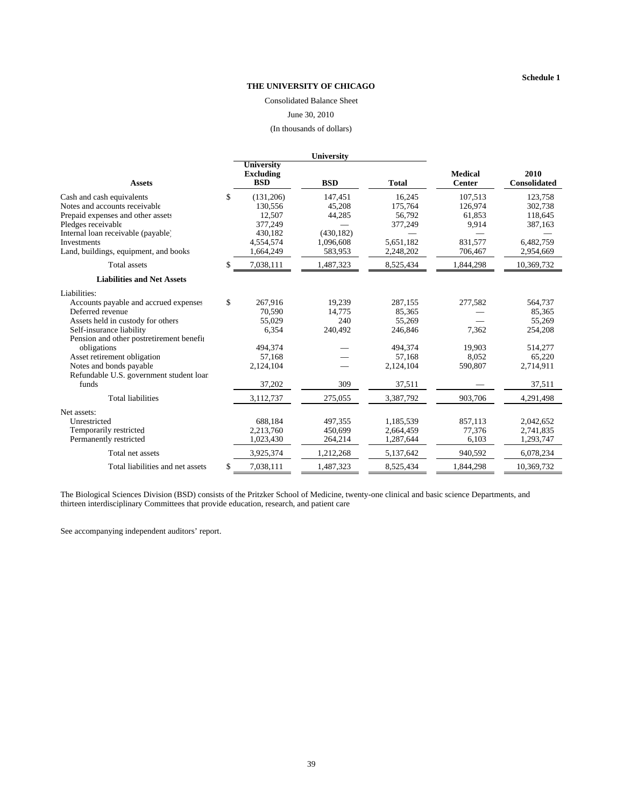#### Consolidated Balance Sheet

#### June 30, 2010

(In thousands of dollars)

| <b>University</b><br><b>Medical</b><br>2010<br><b>Excluding</b><br><b>BSD</b><br><b>BSD</b><br><b>Total</b><br><b>Center</b><br><b>Consolidated</b><br><b>Assets</b><br>\$<br>16,245<br>(131,206)<br>147,451<br>107.513<br>123,758<br>Cash and cash equivalents<br>Notes and accounts receivable<br>130,556<br>45,208<br>175,764<br>126,974<br>302,738<br>12,507<br>44,285<br>Prepaid expenses and other assets<br>56.792<br>61.853<br>118,645<br>377,249<br>Pledges receivable<br>377,249<br>9,914<br>387,163<br>Internal loan receivable (payable)<br>430,182<br>(430, 182)<br>5.651.182<br>831.577<br>6.482.759<br><b>Investments</b><br>4.554.574<br>1.096.608<br>Land, buildings, equipment, and books<br>583,953<br>1,664,249<br>2,248,202<br>706.467<br>2,954,669<br><b>Total assets</b><br>7,038,111<br>1,487,323<br>8,525,434<br>1,844,298<br>10,369,732<br>\$.<br><b>Liabilities and Net Assets</b><br>Liabilities:<br>\$<br>Accounts payable and accrued expenses<br>267.916<br>19.239<br>287.155<br>277,582<br>564,737<br>Deferred revenue<br>70,590<br>14.775<br>85,365<br>85,365<br>Assets held in custody for others<br>240<br>55,269<br>55,029<br>55,269<br>6,354<br>240,492<br>246,846<br>7,362<br>Self-insurance liability<br>254,208<br>Pension and other postretirement benefit<br>494,374<br>494,374<br>19.903<br>514,277<br>obligations<br>Asset retirement obligation<br>57,168<br>57,168<br>8.052<br>65,220<br>Notes and bonds payable<br>2,124,104<br>590,807<br>2,714,911<br>2,124,104<br>Refundable U.S. government student loan<br>37,202<br>309<br>37,511<br>funds<br>37,511<br><b>Total liabilities</b><br>903,706<br>3,112,737<br>275,055<br>3,387,792<br>4,291,498<br>Net assets:<br>688,184<br>1,185,539<br>2,042,652<br>Unrestricted<br>497,355<br>857,113<br>Temporarily restricted<br>2,213,760<br>450,699<br>2,664,459<br>77,376<br>2,741,835<br>Permanently restricted<br>1,023,430<br>264,214<br>1,287,644<br>6,103<br>1,293,747<br>940,592<br>Total net assets<br>3,925,374<br>1,212,268<br>5,137,642<br>6,078,234<br>7,038,111<br>Total liabilities and net assets<br>\$<br>1,487,323<br>8,525,434<br>1.844.298<br>10.369.732 |  | University |  |  |
|------------------------------------------------------------------------------------------------------------------------------------------------------------------------------------------------------------------------------------------------------------------------------------------------------------------------------------------------------------------------------------------------------------------------------------------------------------------------------------------------------------------------------------------------------------------------------------------------------------------------------------------------------------------------------------------------------------------------------------------------------------------------------------------------------------------------------------------------------------------------------------------------------------------------------------------------------------------------------------------------------------------------------------------------------------------------------------------------------------------------------------------------------------------------------------------------------------------------------------------------------------------------------------------------------------------------------------------------------------------------------------------------------------------------------------------------------------------------------------------------------------------------------------------------------------------------------------------------------------------------------------------------------------------------------------------------------------------------------------------------------------------------------------------------------------------------------------------------------------------------------------------------------------------------------------------------------------------------------------------------------------------------------------------------------------------------------------------------------------------------------------------------------------------------|--|------------|--|--|
|                                                                                                                                                                                                                                                                                                                                                                                                                                                                                                                                                                                                                                                                                                                                                                                                                                                                                                                                                                                                                                                                                                                                                                                                                                                                                                                                                                                                                                                                                                                                                                                                                                                                                                                                                                                                                                                                                                                                                                                                                                                                                                                                                                        |  |            |  |  |
|                                                                                                                                                                                                                                                                                                                                                                                                                                                                                                                                                                                                                                                                                                                                                                                                                                                                                                                                                                                                                                                                                                                                                                                                                                                                                                                                                                                                                                                                                                                                                                                                                                                                                                                                                                                                                                                                                                                                                                                                                                                                                                                                                                        |  |            |  |  |
|                                                                                                                                                                                                                                                                                                                                                                                                                                                                                                                                                                                                                                                                                                                                                                                                                                                                                                                                                                                                                                                                                                                                                                                                                                                                                                                                                                                                                                                                                                                                                                                                                                                                                                                                                                                                                                                                                                                                                                                                                                                                                                                                                                        |  |            |  |  |
|                                                                                                                                                                                                                                                                                                                                                                                                                                                                                                                                                                                                                                                                                                                                                                                                                                                                                                                                                                                                                                                                                                                                                                                                                                                                                                                                                                                                                                                                                                                                                                                                                                                                                                                                                                                                                                                                                                                                                                                                                                                                                                                                                                        |  |            |  |  |
|                                                                                                                                                                                                                                                                                                                                                                                                                                                                                                                                                                                                                                                                                                                                                                                                                                                                                                                                                                                                                                                                                                                                                                                                                                                                                                                                                                                                                                                                                                                                                                                                                                                                                                                                                                                                                                                                                                                                                                                                                                                                                                                                                                        |  |            |  |  |
|                                                                                                                                                                                                                                                                                                                                                                                                                                                                                                                                                                                                                                                                                                                                                                                                                                                                                                                                                                                                                                                                                                                                                                                                                                                                                                                                                                                                                                                                                                                                                                                                                                                                                                                                                                                                                                                                                                                                                                                                                                                                                                                                                                        |  |            |  |  |
|                                                                                                                                                                                                                                                                                                                                                                                                                                                                                                                                                                                                                                                                                                                                                                                                                                                                                                                                                                                                                                                                                                                                                                                                                                                                                                                                                                                                                                                                                                                                                                                                                                                                                                                                                                                                                                                                                                                                                                                                                                                                                                                                                                        |  |            |  |  |
|                                                                                                                                                                                                                                                                                                                                                                                                                                                                                                                                                                                                                                                                                                                                                                                                                                                                                                                                                                                                                                                                                                                                                                                                                                                                                                                                                                                                                                                                                                                                                                                                                                                                                                                                                                                                                                                                                                                                                                                                                                                                                                                                                                        |  |            |  |  |
|                                                                                                                                                                                                                                                                                                                                                                                                                                                                                                                                                                                                                                                                                                                                                                                                                                                                                                                                                                                                                                                                                                                                                                                                                                                                                                                                                                                                                                                                                                                                                                                                                                                                                                                                                                                                                                                                                                                                                                                                                                                                                                                                                                        |  |            |  |  |
|                                                                                                                                                                                                                                                                                                                                                                                                                                                                                                                                                                                                                                                                                                                                                                                                                                                                                                                                                                                                                                                                                                                                                                                                                                                                                                                                                                                                                                                                                                                                                                                                                                                                                                                                                                                                                                                                                                                                                                                                                                                                                                                                                                        |  |            |  |  |
|                                                                                                                                                                                                                                                                                                                                                                                                                                                                                                                                                                                                                                                                                                                                                                                                                                                                                                                                                                                                                                                                                                                                                                                                                                                                                                                                                                                                                                                                                                                                                                                                                                                                                                                                                                                                                                                                                                                                                                                                                                                                                                                                                                        |  |            |  |  |
|                                                                                                                                                                                                                                                                                                                                                                                                                                                                                                                                                                                                                                                                                                                                                                                                                                                                                                                                                                                                                                                                                                                                                                                                                                                                                                                                                                                                                                                                                                                                                                                                                                                                                                                                                                                                                                                                                                                                                                                                                                                                                                                                                                        |  |            |  |  |
|                                                                                                                                                                                                                                                                                                                                                                                                                                                                                                                                                                                                                                                                                                                                                                                                                                                                                                                                                                                                                                                                                                                                                                                                                                                                                                                                                                                                                                                                                                                                                                                                                                                                                                                                                                                                                                                                                                                                                                                                                                                                                                                                                                        |  |            |  |  |
|                                                                                                                                                                                                                                                                                                                                                                                                                                                                                                                                                                                                                                                                                                                                                                                                                                                                                                                                                                                                                                                                                                                                                                                                                                                                                                                                                                                                                                                                                                                                                                                                                                                                                                                                                                                                                                                                                                                                                                                                                                                                                                                                                                        |  |            |  |  |
|                                                                                                                                                                                                                                                                                                                                                                                                                                                                                                                                                                                                                                                                                                                                                                                                                                                                                                                                                                                                                                                                                                                                                                                                                                                                                                                                                                                                                                                                                                                                                                                                                                                                                                                                                                                                                                                                                                                                                                                                                                                                                                                                                                        |  |            |  |  |
|                                                                                                                                                                                                                                                                                                                                                                                                                                                                                                                                                                                                                                                                                                                                                                                                                                                                                                                                                                                                                                                                                                                                                                                                                                                                                                                                                                                                                                                                                                                                                                                                                                                                                                                                                                                                                                                                                                                                                                                                                                                                                                                                                                        |  |            |  |  |
|                                                                                                                                                                                                                                                                                                                                                                                                                                                                                                                                                                                                                                                                                                                                                                                                                                                                                                                                                                                                                                                                                                                                                                                                                                                                                                                                                                                                                                                                                                                                                                                                                                                                                                                                                                                                                                                                                                                                                                                                                                                                                                                                                                        |  |            |  |  |
|                                                                                                                                                                                                                                                                                                                                                                                                                                                                                                                                                                                                                                                                                                                                                                                                                                                                                                                                                                                                                                                                                                                                                                                                                                                                                                                                                                                                                                                                                                                                                                                                                                                                                                                                                                                                                                                                                                                                                                                                                                                                                                                                                                        |  |            |  |  |
|                                                                                                                                                                                                                                                                                                                                                                                                                                                                                                                                                                                                                                                                                                                                                                                                                                                                                                                                                                                                                                                                                                                                                                                                                                                                                                                                                                                                                                                                                                                                                                                                                                                                                                                                                                                                                                                                                                                                                                                                                                                                                                                                                                        |  |            |  |  |
|                                                                                                                                                                                                                                                                                                                                                                                                                                                                                                                                                                                                                                                                                                                                                                                                                                                                                                                                                                                                                                                                                                                                                                                                                                                                                                                                                                                                                                                                                                                                                                                                                                                                                                                                                                                                                                                                                                                                                                                                                                                                                                                                                                        |  |            |  |  |
|                                                                                                                                                                                                                                                                                                                                                                                                                                                                                                                                                                                                                                                                                                                                                                                                                                                                                                                                                                                                                                                                                                                                                                                                                                                                                                                                                                                                                                                                                                                                                                                                                                                                                                                                                                                                                                                                                                                                                                                                                                                                                                                                                                        |  |            |  |  |
|                                                                                                                                                                                                                                                                                                                                                                                                                                                                                                                                                                                                                                                                                                                                                                                                                                                                                                                                                                                                                                                                                                                                                                                                                                                                                                                                                                                                                                                                                                                                                                                                                                                                                                                                                                                                                                                                                                                                                                                                                                                                                                                                                                        |  |            |  |  |
|                                                                                                                                                                                                                                                                                                                                                                                                                                                                                                                                                                                                                                                                                                                                                                                                                                                                                                                                                                                                                                                                                                                                                                                                                                                                                                                                                                                                                                                                                                                                                                                                                                                                                                                                                                                                                                                                                                                                                                                                                                                                                                                                                                        |  |            |  |  |
|                                                                                                                                                                                                                                                                                                                                                                                                                                                                                                                                                                                                                                                                                                                                                                                                                                                                                                                                                                                                                                                                                                                                                                                                                                                                                                                                                                                                                                                                                                                                                                                                                                                                                                                                                                                                                                                                                                                                                                                                                                                                                                                                                                        |  |            |  |  |
|                                                                                                                                                                                                                                                                                                                                                                                                                                                                                                                                                                                                                                                                                                                                                                                                                                                                                                                                                                                                                                                                                                                                                                                                                                                                                                                                                                                                                                                                                                                                                                                                                                                                                                                                                                                                                                                                                                                                                                                                                                                                                                                                                                        |  |            |  |  |
|                                                                                                                                                                                                                                                                                                                                                                                                                                                                                                                                                                                                                                                                                                                                                                                                                                                                                                                                                                                                                                                                                                                                                                                                                                                                                                                                                                                                                                                                                                                                                                                                                                                                                                                                                                                                                                                                                                                                                                                                                                                                                                                                                                        |  |            |  |  |
|                                                                                                                                                                                                                                                                                                                                                                                                                                                                                                                                                                                                                                                                                                                                                                                                                                                                                                                                                                                                                                                                                                                                                                                                                                                                                                                                                                                                                                                                                                                                                                                                                                                                                                                                                                                                                                                                                                                                                                                                                                                                                                                                                                        |  |            |  |  |
|                                                                                                                                                                                                                                                                                                                                                                                                                                                                                                                                                                                                                                                                                                                                                                                                                                                                                                                                                                                                                                                                                                                                                                                                                                                                                                                                                                                                                                                                                                                                                                                                                                                                                                                                                                                                                                                                                                                                                                                                                                                                                                                                                                        |  |            |  |  |

The Biological Sciences Division (BSD) consists of the Pritzker School of Medicine, twenty-one clinical and basic science Departments, and thirteen interdisciplinary Committees that provide education, research, and patient care

See accompanying independent auditors' report.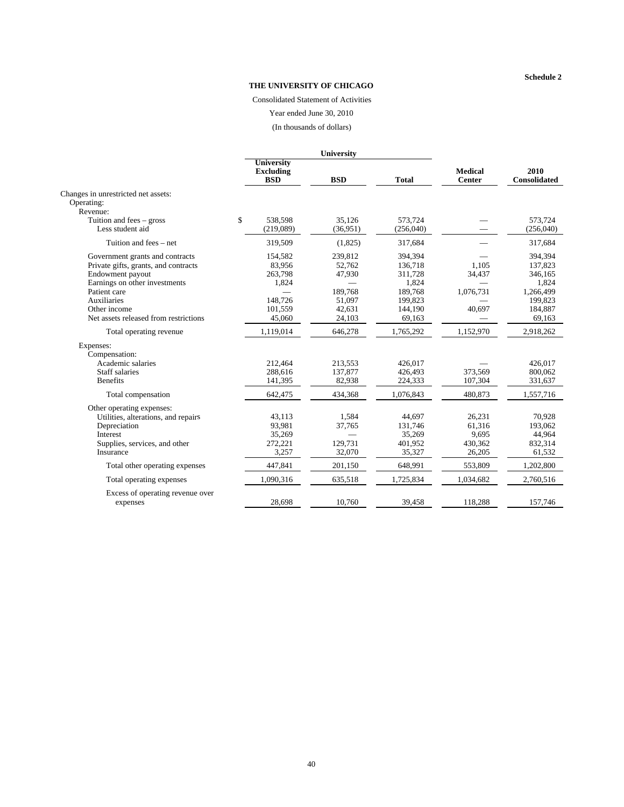#### **Schedule 2**

#### **THE UNIVERSITY OF CHICAGO**

Consolidated Statement of Activities

Year ended June 30, 2010

(In thousands of dollars)

|                                                                                                                                                   |                                                     | University                             |                                                   |                                                |                                                     |
|---------------------------------------------------------------------------------------------------------------------------------------------------|-----------------------------------------------------|----------------------------------------|---------------------------------------------------|------------------------------------------------|-----------------------------------------------------|
|                                                                                                                                                   | <b>University</b><br><b>Excluding</b><br><b>BSD</b> | <b>BSD</b>                             | <b>Total</b>                                      | <b>Medical</b><br>Center                       | 2010<br><b>Consolidated</b>                         |
| Changes in unrestricted net assets:<br>Operating:<br>Revenue:                                                                                     |                                                     |                                        |                                                   |                                                |                                                     |
| Tuition and fees $-$ gross<br>Less student aid                                                                                                    | \$<br>538,598<br>(219,089)                          | 35.126<br>(36,951)                     | 573.724<br>(256,040)                              |                                                | 573.724<br>(256,040)                                |
| Tuition and fees – net                                                                                                                            | 319,509                                             | (1,825)                                | 317,684                                           |                                                | 317,684                                             |
| Government grants and contracts<br>Private gifts, grants, and contracts<br>Endowment payout<br>Earnings on other investments<br>Patient care      | 154.582<br>83,956<br>263,798<br>1,824               | 239.812<br>52,762<br>47,930<br>189,768 | 394.394<br>136,718<br>311,728<br>1,824<br>189,768 | 1.105<br>34,437<br>1,076,731                   | 394.394<br>137,823<br>346,165<br>1,824<br>1,266,499 |
| Auxiliaries<br>Other income                                                                                                                       | 148.726<br>101,559                                  | 51.097<br>42,631                       | 199,823<br>144,190                                | 40,697                                         | 199,823<br>184,887                                  |
| Net assets released from restrictions                                                                                                             | 45,060                                              | 24,103                                 | 69,163                                            |                                                | 69,163                                              |
| Total operating revenue                                                                                                                           | 1,119,014                                           | 646,278                                | 1,765,292                                         | 1,152,970                                      | 2,918,262                                           |
| Expenses:<br>Compensation:<br>Academic salaries<br>Staff salaries<br><b>Benefits</b>                                                              | 212,464<br>288.616<br>141,395                       | 213,553<br>137,877<br>82,938           | 426,017<br>426,493<br>224,333                     | 373.569<br>107,304                             | 426,017<br>800,062<br>331,637                       |
| Total compensation                                                                                                                                | 642,475                                             | 434,368                                | 1,076,843                                         | 480,873                                        | 1,557,716                                           |
| Other operating expenses:<br>Utilities, alterations, and repairs<br>Depreciation<br><b>Interest</b><br>Supplies, services, and other<br>Insurance | 43.113<br>93,981<br>35,269<br>272,221<br>3.257      | 1.584<br>37,765<br>129,731<br>32,070   | 44.697<br>131,746<br>35,269<br>401,952<br>35,327  | 26.231<br>61,316<br>9,695<br>430,362<br>26,205 | 70.928<br>193,062<br>44,964<br>832,314<br>61,532    |
| Total other operating expenses                                                                                                                    | 447,841                                             | 201.150                                | 648,991                                           | 553,809                                        | 1,202,800                                           |
| Total operating expenses                                                                                                                          | 1,090,316                                           | 635,518                                | 1,725,834                                         | 1,034,682                                      | 2,760,516                                           |
| Excess of operating revenue over<br>expenses                                                                                                      | 28,698                                              | 10,760                                 | 39,458                                            | 118,288                                        | 157,746                                             |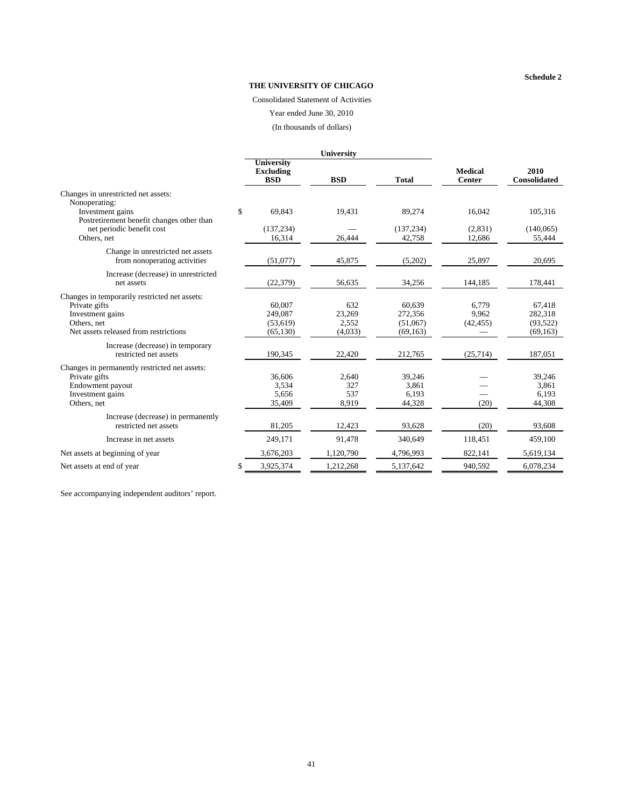#### **Schedule 2**

#### **THE UNIVERSITY OF CHICAGO**

Consolidated Statement of Activities

Year ended June 30, 2010

(In thousands of dollars)

|                                                      |                                              | <b>University</b> |              |                                 |                             |
|------------------------------------------------------|----------------------------------------------|-------------------|--------------|---------------------------------|-----------------------------|
|                                                      | University<br><b>Excluding</b><br><b>BSD</b> | <b>BSD</b>        | <b>Total</b> | <b>Medical</b><br><b>Center</b> | 2010<br><b>Consolidated</b> |
| Changes in unrestricted net assets:                  |                                              |                   |              |                                 |                             |
| Nonoperating:                                        |                                              |                   |              |                                 |                             |
| Investment gains                                     | \$<br>69,843                                 | 19,431            | 89,274       | 16,042                          | 105,316                     |
| Postretirement benefit changes other than            |                                              |                   |              |                                 |                             |
| net periodic benefit cost                            | (137, 234)                                   |                   | (137, 234)   | (2,831)                         | (140,065)                   |
| Others, net                                          | 16,314                                       | 26,444            | 42,758       | 12,686                          | 55,444                      |
| Change in unrestricted net assets                    |                                              |                   |              |                                 |                             |
| from nonoperating activities                         | (51,077)                                     | 45,875            | (5,202)      | 25,897                          | 20.695                      |
| Increase (decrease) in unrestricted                  |                                              |                   |              |                                 |                             |
| net assets                                           | (22, 379)                                    | 56,635            | 34,256       | 144,185                         | 178,441                     |
|                                                      |                                              |                   |              |                                 |                             |
| Changes in temporarily restricted net assets:        |                                              |                   |              |                                 |                             |
| Private gifts                                        | 60,007                                       | 632               | 60,639       | 6,779                           | 67,418                      |
| Investment gains                                     | 249,087                                      | 23,269            | 272,356      | 9,962                           | 282,318                     |
| Others, net<br>Net assets released from restrictions | (53,619)                                     | 2,552             | (51,067)     | (42, 455)                       | (93,522)                    |
|                                                      | (65, 130)                                    | (4,033)           | (69, 163)    |                                 | (69, 163)                   |
| Increase (decrease) in temporary                     |                                              |                   |              |                                 |                             |
| restricted net assets                                | 190,345                                      | 22,420            | 212,765      | (25, 714)                       | 187,051                     |
| Changes in permanently restricted net assets:        |                                              |                   |              |                                 |                             |
| Private gifts                                        | 36,606                                       | 2,640             | 39,246       |                                 | 39.246                      |
| Endowment payout                                     | 3,534                                        | 327               | 3,861        |                                 | 3,861                       |
| Investment gains                                     | 5,656                                        | 537               | 6,193        |                                 | 6,193                       |
| Others, net                                          | 35,409                                       | 8,919             | 44,328       | (20)                            | 44,308                      |
| Increase (decrease) in permanently                   |                                              |                   |              |                                 |                             |
| restricted net assets                                | 81,205                                       | 12,423            | 93,628       | (20)                            | 93,608                      |
| Increase in net assets                               | 249,171                                      | 91,478            | 340,649      | 118,451                         | 459,100                     |
| Net assets at beginning of year                      | 3,676,203                                    | 1,120,790         | 4,796,993    | 822,141                         | 5,619,134                   |
| Net assets at end of year                            | \$<br>3,925,374                              | 1,212,268         | 5,137,642    | 940,592                         | 6,078,234                   |

See accompanying independent auditors' report.